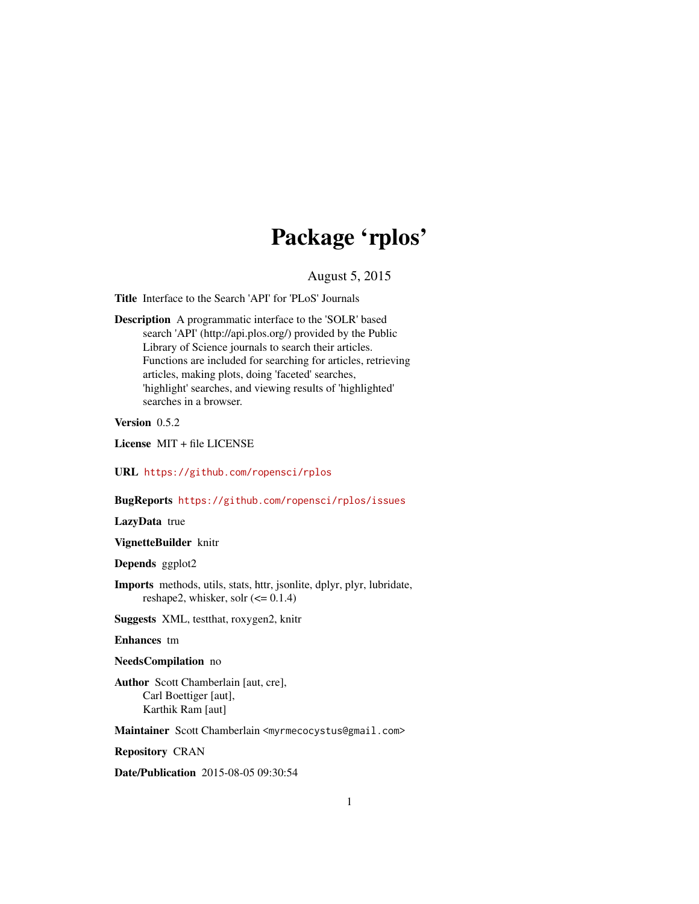# Package 'rplos'

August 5, 2015

<span id="page-0-0"></span>Title Interface to the Search 'API' for 'PLoS' Journals

Description A programmatic interface to the 'SOLR' based search 'API' (http://api.plos.org/) provided by the Public Library of Science journals to search their articles. Functions are included for searching for articles, retrieving articles, making plots, doing 'faceted' searches, 'highlight' searches, and viewing results of 'highlighted' searches in a browser.

Version 0.5.2

License MIT + file LICENSE

URL <https://github.com/ropensci/rplos>

BugReports <https://github.com/ropensci/rplos/issues>

LazyData true

VignetteBuilder knitr

Depends ggplot2

Imports methods, utils, stats, httr, jsonlite, dplyr, plyr, lubridate, reshape2, whisker, solr  $\left(\leq 0.1.4\right)$ 

Suggests XML, testthat, roxygen2, knitr

Enhances tm

NeedsCompilation no

Author Scott Chamberlain [aut, cre], Carl Boettiger [aut], Karthik Ram [aut]

Maintainer Scott Chamberlain <myrmecocystus@gmail.com>

Repository CRAN

Date/Publication 2015-08-05 09:30:54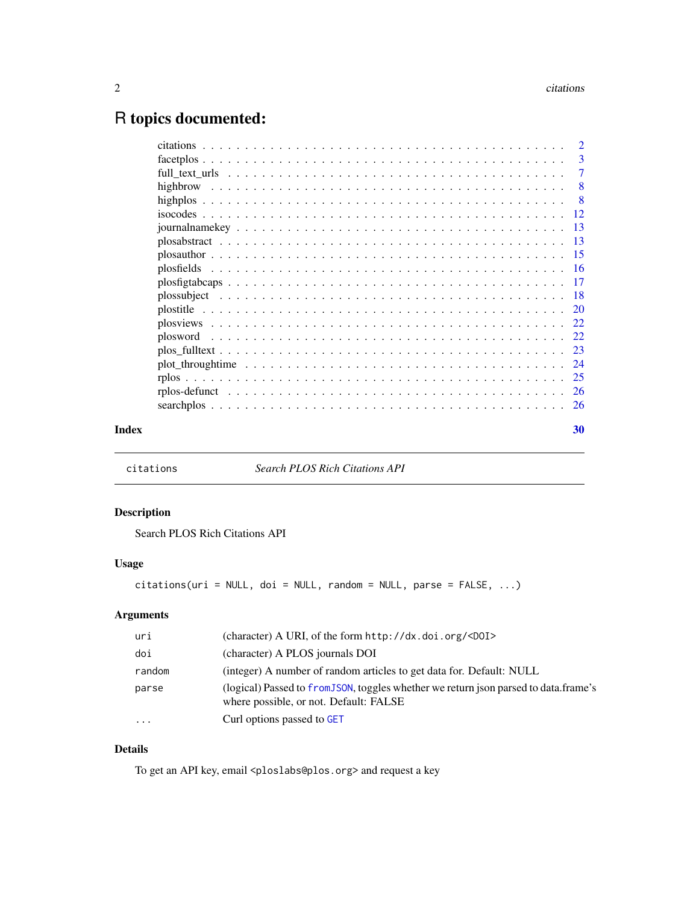# <span id="page-1-0"></span>R topics documented:

|       | -7                        |
|-------|---------------------------|
|       | $\overline{\phantom{0}}8$ |
|       |                           |
|       |                           |
|       |                           |
|       |                           |
|       |                           |
|       |                           |
|       |                           |
|       |                           |
|       |                           |
|       |                           |
|       |                           |
|       |                           |
|       |                           |
|       |                           |
|       |                           |
|       |                           |
| Index | 30                        |

citations *Search PLOS Rich Citations API*

# Description

Search PLOS Rich Citations API

# Usage

 $citations(uri = NULL, doi = NULL, random = NULL, parse = FALSE, ...)$ 

# Arguments

| uri      | (character) A URI, of the form http://dx.doi.org/ <d0i></d0i>                                                                  |
|----------|--------------------------------------------------------------------------------------------------------------------------------|
| doi      | (character) A PLOS journals DOI                                                                                                |
| random   | (integer) A number of random articles to get data for. Default: NULL                                                           |
| parse    | (logical) Passed to from JSON, toggles whether we return json parsed to data.frame's<br>where possible, or not. Default: FALSE |
| $\cdots$ | Curl options passed to GET                                                                                                     |

# Details

To get an API key, email <ploslabs@plos.org> and request a key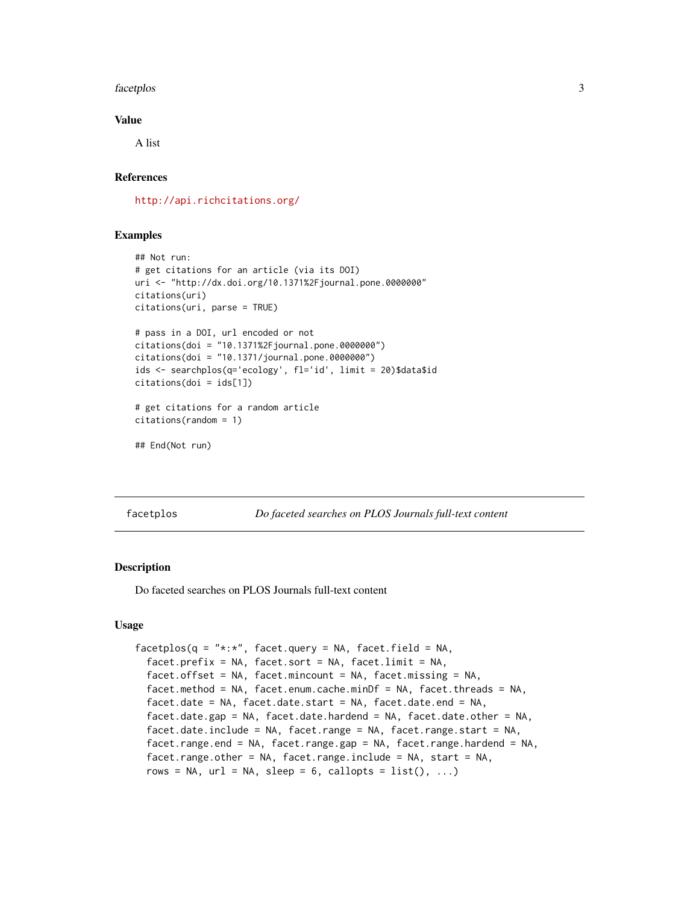#### <span id="page-2-0"></span>facetplos 3

### Value

A list

# References

<http://api.richcitations.org/>

# Examples

```
## Not run:
# get citations for an article (via its DOI)
uri <- "http://dx.doi.org/10.1371%2Fjournal.pone.0000000"
citations(uri)
citations(uri, parse = TRUE)
# pass in a DOI, url encoded or not
citations(doi = "10.1371%2Fjournal.pone.0000000")
citations(doi = "10.1371/journal.pone.0000000")
ids <- searchplos(q='ecology', fl='id', limit = 20)$data$id
citations(doi = ids[1])
# get citations for a random article
citations(random = 1)
## End(Not run)
```
facetplos *Do faceted searches on PLOS Journals full-text content*

#### Description

Do faceted searches on PLOS Journals full-text content

#### Usage

```
facetplos(q = "*:*,", facet.query = NA, facet.field = NA,facet.prefix = NA, facet.sort = NA, facet.limit = NA,facet.offset = NA, facet.mincount = NA, facet.missing = NA,
  facet.method = NA, facet.enum.cache.minDf = NA, facet.threads = NA,
  facet.date = NA, facet.date.start = NA, facet.date.end = NA,
  facet.date.gap = NA, facet.date.hardend = NA, facet.date.other = NA,
  facet.date.include = NA, facet.range = NA, facet.range.start = NA,
  facet.range.end = NA, facet.range.gap = NA, facet.range.hardend = NA,
  facet.range.other = NA, facet.range.include = NA, start = NA,
  rows = NA, url = NA, sleep = 6, callopts = list(), ...)
```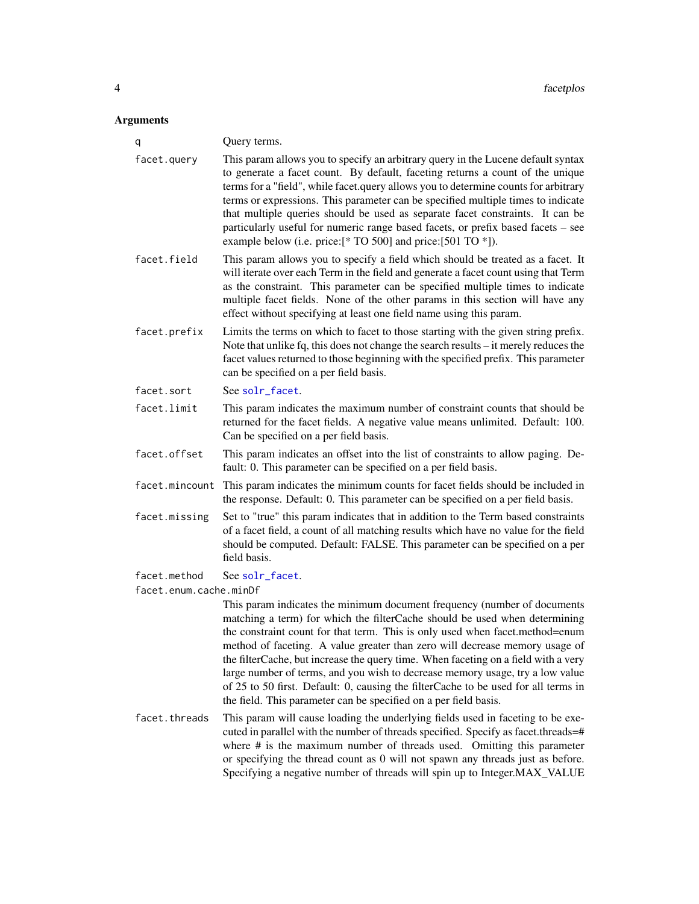#### <span id="page-3-0"></span>**Arguments**

| q                      | Query terms.                                                                                                                                                                                                                                                                                                                                                                                                                                                                                                                                                                     |
|------------------------|----------------------------------------------------------------------------------------------------------------------------------------------------------------------------------------------------------------------------------------------------------------------------------------------------------------------------------------------------------------------------------------------------------------------------------------------------------------------------------------------------------------------------------------------------------------------------------|
| facet.query            | This param allows you to specify an arbitrary query in the Lucene default syntax<br>to generate a facet count. By default, faceting returns a count of the unique<br>terms for a "field", while facet.query allows you to determine counts for arbitrary<br>terms or expressions. This parameter can be specified multiple times to indicate<br>that multiple queries should be used as separate facet constraints. It can be<br>particularly useful for numeric range based facets, or prefix based facets - see<br>example below (i.e. price:[* TO 500] and price:[501 TO *]). |
| facet.field            | This param allows you to specify a field which should be treated as a facet. It<br>will iterate over each Term in the field and generate a facet count using that Term<br>as the constraint. This parameter can be specified multiple times to indicate<br>multiple facet fields. None of the other params in this section will have any<br>effect without specifying at least one field name using this param.                                                                                                                                                                  |
| facet.prefix           | Limits the terms on which to facet to those starting with the given string prefix.<br>Note that unlike fq, this does not change the search results – it merely reduces the<br>facet values returned to those beginning with the specified prefix. This parameter<br>can be specified on a per field basis.                                                                                                                                                                                                                                                                       |
| facet.sort             | See solr_facet.                                                                                                                                                                                                                                                                                                                                                                                                                                                                                                                                                                  |
| facet.limit            | This param indicates the maximum number of constraint counts that should be<br>returned for the facet fields. A negative value means unlimited. Default: 100.<br>Can be specified on a per field basis.                                                                                                                                                                                                                                                                                                                                                                          |
| facet.offset           | This param indicates an offset into the list of constraints to allow paging. De-<br>fault: 0. This parameter can be specified on a per field basis.                                                                                                                                                                                                                                                                                                                                                                                                                              |
| facet.mincount         | This param indicates the minimum counts for facet fields should be included in<br>the response. Default: 0. This parameter can be specified on a per field basis.                                                                                                                                                                                                                                                                                                                                                                                                                |
| facet.missing          | Set to "true" this param indicates that in addition to the Term based constraints<br>of a facet field, a count of all matching results which have no value for the field<br>should be computed. Default: FALSE. This parameter can be specified on a per<br>field basis.                                                                                                                                                                                                                                                                                                         |
| facet.method           | See solr_facet.                                                                                                                                                                                                                                                                                                                                                                                                                                                                                                                                                                  |
| facet.enum.cache.minDf |                                                                                                                                                                                                                                                                                                                                                                                                                                                                                                                                                                                  |
|                        | This param indicates the minimum document frequency (number of documents                                                                                                                                                                                                                                                                                                                                                                                                                                                                                                         |

matching a term) for which the filterCache should be used when determining the constraint count for that term. This is only used when facet.method=enum method of faceting. A value greater than zero will decrease memory usage of the filterCache, but increase the query time. When faceting on a field with a very large number of terms, and you wish to decrease memory usage, try a low value of 25 to 50 first. Default: 0, causing the filterCache to be used for all terms in the field. This parameter can be specified on a per field basis.

facet.threads This param will cause loading the underlying fields used in faceting to be executed in parallel with the number of threads specified. Specify as facet.threads=# where # is the maximum number of threads used. Omitting this parameter or specifying the thread count as 0 will not spawn any threads just as before. Specifying a negative number of threads will spin up to Integer.MAX\_VALUE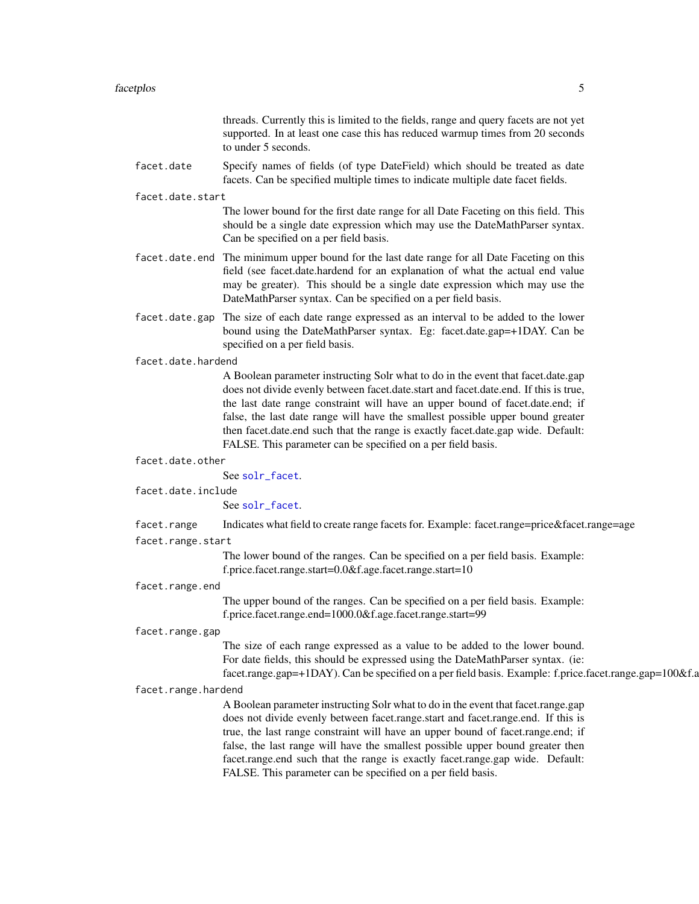#### facetplos 5

threads. Currently this is limited to the fields, range and query facets are not yet supported. In at least one case this has reduced warmup times from 20 seconds to under 5 seconds.

facet.date Specify names of fields (of type DateField) which should be treated as date facets. Can be specified multiple times to indicate multiple date facet fields.

#### facet.date.start

The lower bound for the first date range for all Date Faceting on this field. This should be a single date expression which may use the DateMathParser syntax. Can be specified on a per field basis.

- facet.date.end The minimum upper bound for the last date range for all Date Faceting on this field (see facet.date.hardend for an explanation of what the actual end value may be greater). This should be a single date expression which may use the DateMathParser syntax. Can be specified on a per field basis.
- facet.date.gap The size of each date range expressed as an interval to be added to the lower bound using the DateMathParser syntax. Eg: facet.date.gap=+1DAY. Can be specified on a per field basis.

#### facet.date.hardend

A Boolean parameter instructing Solr what to do in the event that facet.date.gap does not divide evenly between facet.date.start and facet.date.end. If this is true, the last date range constraint will have an upper bound of facet.date.end; if false, the last date range will have the smallest possible upper bound greater then facet.date.end such that the range is exactly facet.date.gap wide. Default: FALSE. This parameter can be specified on a per field basis.

#### facet.date.other

See [solr\\_facet](#page-0-0).

facet.date.include

See [solr\\_facet](#page-0-0).

facet.range Indicates what field to create range facets for. Example: facet.range=price&facet.range=age

#### facet.range.start

The lower bound of the ranges. Can be specified on a per field basis. Example: f.price.facet.range.start=0.0&f.age.facet.range.start=10

#### facet.range.end

The upper bound of the ranges. Can be specified on a per field basis. Example: f.price.facet.range.end=1000.0&f.age.facet.range.start=99

#### facet.range.gap

The size of each range expressed as a value to be added to the lower bound. For date fields, this should be expressed using the DateMathParser syntax. (ie: facet.range.gap=+1DAY). Can be specified on a per field basis. Example: f.price.facet.range.gap=100&f.a

#### facet.range.hardend

A Boolean parameter instructing Solr what to do in the event that facet.range.gap does not divide evenly between facet.range.start and facet.range.end. If this is true, the last range constraint will have an upper bound of facet.range.end; if false, the last range will have the smallest possible upper bound greater then facet.range.end such that the range is exactly facet.range.gap wide. Default: FALSE. This parameter can be specified on a per field basis.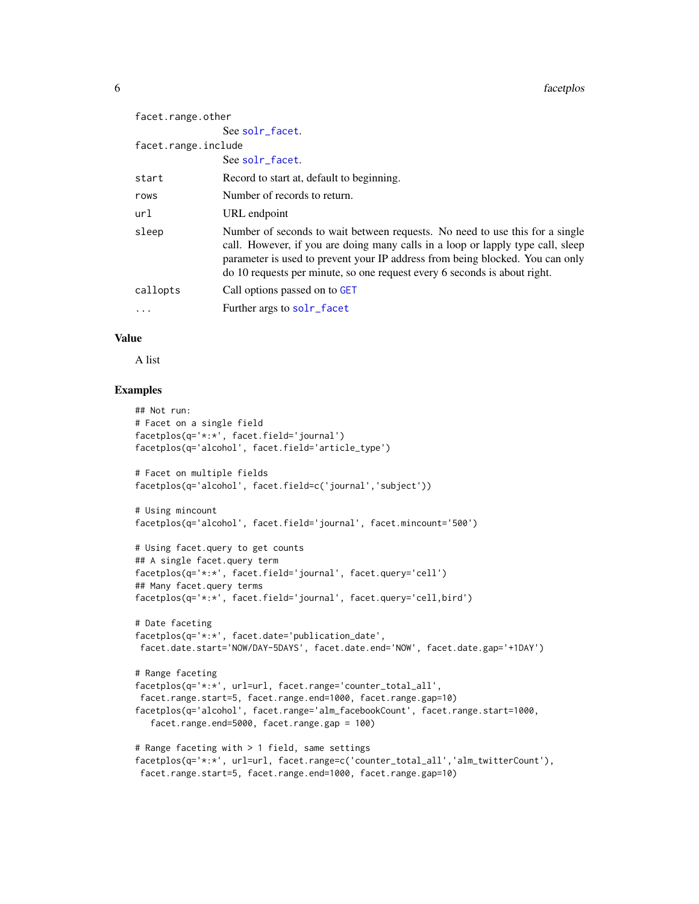#### <span id="page-5-0"></span>**6** facetplos

| facet.range.other   |                                                                                                                                                                                                                                                                                                                               |
|---------------------|-------------------------------------------------------------------------------------------------------------------------------------------------------------------------------------------------------------------------------------------------------------------------------------------------------------------------------|
|                     | See solr_facet.                                                                                                                                                                                                                                                                                                               |
| facet.range.include |                                                                                                                                                                                                                                                                                                                               |
|                     | See solr_facet.                                                                                                                                                                                                                                                                                                               |
| start               | Record to start at, default to beginning.                                                                                                                                                                                                                                                                                     |
| rows                | Number of records to return.                                                                                                                                                                                                                                                                                                  |
| url                 | URL endpoint                                                                                                                                                                                                                                                                                                                  |
| sleep               | Number of seconds to wait between requests. No need to use this for a single<br>call. However, if you are doing many calls in a loop or lapply type call, sleep<br>parameter is used to prevent your IP address from being blocked. You can only<br>do 10 requests per minute, so one request every 6 seconds is about right. |
| callopts            | Call options passed on to GET                                                                                                                                                                                                                                                                                                 |
| $\cdot$             | Further args to solr_facet                                                                                                                                                                                                                                                                                                    |

# Value

A list

# Examples

```
## Not run:
# Facet on a single field
facetplos(q='*:*', facet.field='journal')
facetplos(q='alcohol', facet.field='article_type')
# Facet on multiple fields
facetplos(q='alcohol', facet.field=c('journal','subject'))
# Using mincount
facetplos(q='alcohol', facet.field='journal', facet.mincount='500')
# Using facet.query to get counts
## A single facet.query term
facetplos(q='*:*', facet.field='journal', facet.query='cell')
## Many facet.query terms
facetplos(q='*:*', facet.field='journal', facet.query='cell,bird')
# Date faceting
facetplos(q='*:*', facet.date='publication_date',
facet.date.start='NOW/DAY-5DAYS', facet.date.end='NOW', facet.date.gap='+1DAY')
# Range faceting
facetplos(q='*:*', url=url, facet.range='counter_total_all',
 facet.range.start=5, facet.range.end=1000, facet.range.gap=10)
facetplos(q='alcohol', facet.range='alm_facebookCount', facet.range.start=1000,
   facet.range.end=5000, facet.range.gap = 100)
# Range faceting with > 1 field, same settings
facetplos(q='*:*', url=url, facet.range=c('counter_total_all','alm_twitterCount'),
facet.range.start=5, facet.range.end=1000, facet.range.gap=10)
```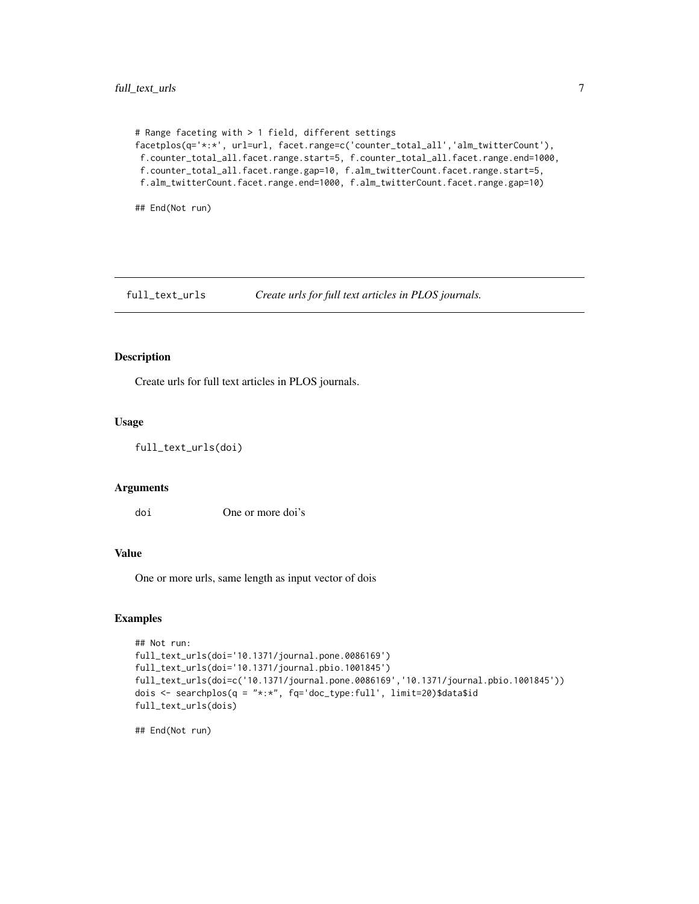```
# Range faceting with > 1 field, different settings
facetplos(q='*:*', url=url, facet.range=c('counter_total_all','alm_twitterCount'),
f.counter_total_all.facet.range.start=5, f.counter_total_all.facet.range.end=1000,
f.counter_total_all.facet.range.gap=10, f.alm_twitterCount.facet.range.start=5,
f.alm_twitterCount.facet.range.end=1000, f.alm_twitterCount.facet.range.gap=10)
```
## End(Not run)

full\_text\_urls *Create urls for full text articles in PLOS journals.*

# Description

Create urls for full text articles in PLOS journals.

#### Usage

full\_text\_urls(doi)

#### Arguments

doi One or more doi's

# Value

One or more urls, same length as input vector of dois

#### Examples

```
## Not run:
full_text_urls(doi='10.1371/journal.pone.0086169')
full_text_urls(doi='10.1371/journal.pbio.1001845')
full_text_urls(doi=c('10.1371/journal.pone.0086169','10.1371/journal.pbio.1001845'))
dois \leq searchplos(q = "*:*", fq='doc_type:full', limit=20)$data$id
full_text_urls(dois)
```
## End(Not run)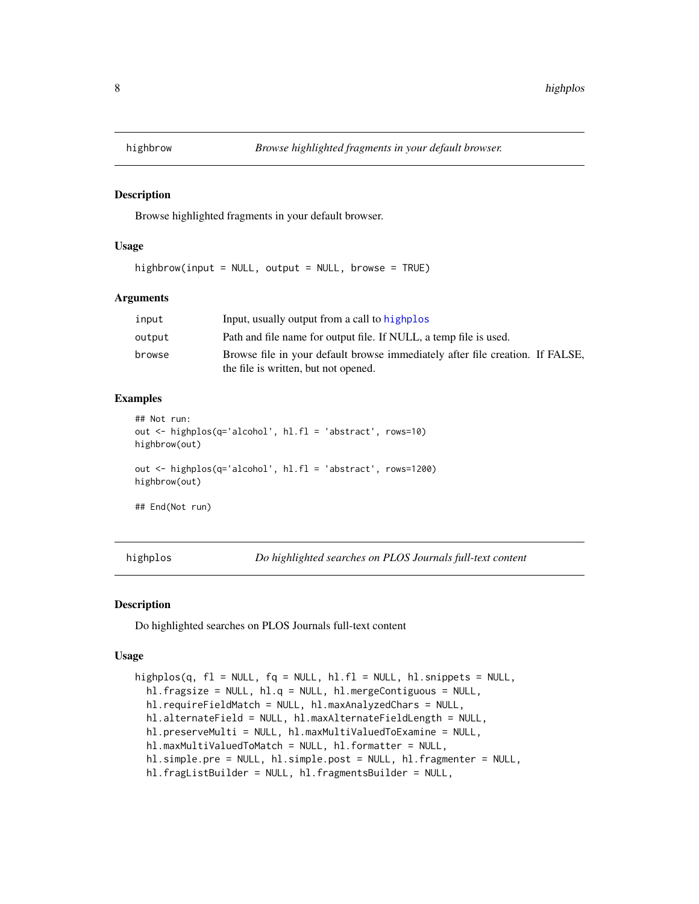<span id="page-7-0"></span>

#### Description

Browse highlighted fragments in your default browser.

#### Usage

highbrow(input = NULL, output = NULL, browse = TRUE)

#### Arguments

| input  | Input, usually output from a call to highplos                                 |
|--------|-------------------------------------------------------------------------------|
| output | Path and file name for output file. If NULL, a temp file is used.             |
| browse | Browse file in your default browse immediately after file creation. If FALSE, |
|        | the file is written, but not opened.                                          |

# Examples

```
## Not run:
out <- highplos(q='alcohol', hl.fl = 'abstract', rows=10)
highbrow(out)
out <- highplos(q='alcohol', hl.fl = 'abstract', rows=1200)
highbrow(out)
## End(Not run)
```
<span id="page-7-1"></span>highplos *Do highlighted searches on PLOS Journals full-text content*

#### Description

Do highlighted searches on PLOS Journals full-text content

#### Usage

```
highplos(q, f1 = NULL, fq = NULL, h1.f1 = NULL, h1.snippets = NULL,
 hl.fragsize = NULL, hl.q = NULL, hl.mergeContiguous = NULL,
 hl.requireFieldMatch = NULL, hl.maxAnalyzedChars = NULL,
 hl.alternateField = NULL, hl.maxAlternateFieldLength = NULL,
 hl.preserveMulti = NULL, hl.maxMultiValuedToExamine = NULL,
 hl.maxMultiValuedToMatch = NULL, hl.formatter = NULL,
  hl.simple.pre = NULL, hl.simple.post = NULL, hl.fragmenter = NULL,
 hl.fragListBuilder = NULL, hl.fragmentsBuilder = NULL,
```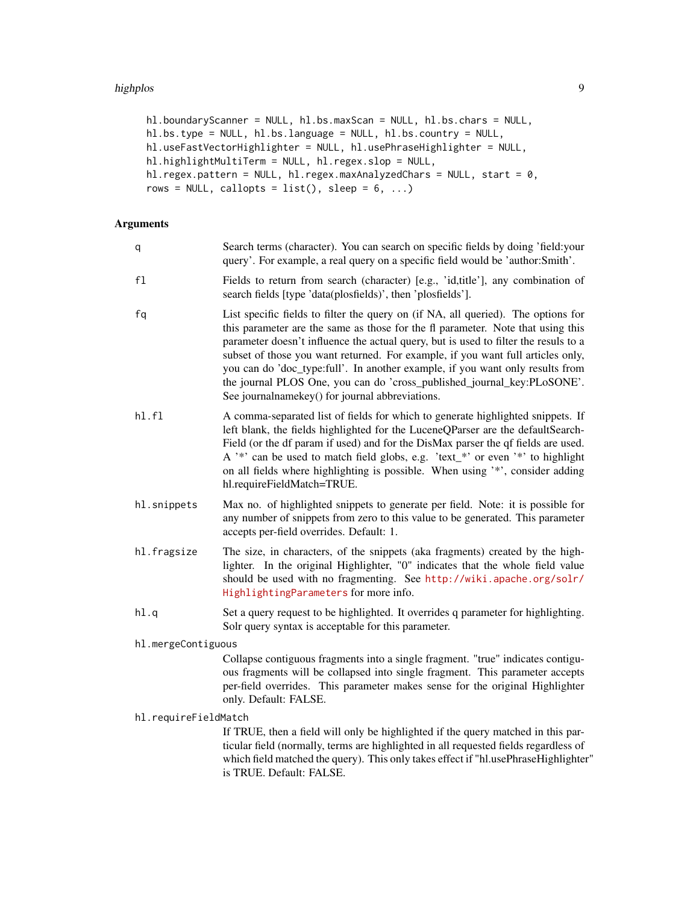#### highplos 9

```
hl.boundaryScanner = NULL, hl.bs.maxScan = NULL, hl.bs.chars = NULL,
hl.bs.type = NULL, hl.bs.language = NULL, hl.bs.country = NULL,
hl.useFastVectorHighlighter = NULL, hl.usePhraseHighlighter = NULL,
hl.highlightMultiTerm = NULL, hl.regex.slop = NULL,
hl.regex.pattern = NULL, hl.regex.maxAnalyzedChars = NULL, start = 0,
rows = NULL, callopts = list(), sleep = 6, ...)
```
# Arguments

| q                    | Search terms (character). You can search on specific fields by doing 'field: your<br>query'. For example, a real query on a specific field would be 'author:Smith'.                                                                                                                                                                                                                                                                                                                                                                                           |
|----------------------|---------------------------------------------------------------------------------------------------------------------------------------------------------------------------------------------------------------------------------------------------------------------------------------------------------------------------------------------------------------------------------------------------------------------------------------------------------------------------------------------------------------------------------------------------------------|
| f1                   | Fields to return from search (character) [e.g., 'id, title'], any combination of<br>search fields [type 'data(plosfields)', then 'plosfields'].                                                                                                                                                                                                                                                                                                                                                                                                               |
| fq                   | List specific fields to filter the query on (if NA, all queried). The options for<br>this parameter are the same as those for the fl parameter. Note that using this<br>parameter doesn't influence the actual query, but is used to filter the resuls to a<br>subset of those you want returned. For example, if you want full articles only,<br>you can do 'doc_type:full'. In another example, if you want only results from<br>the journal PLOS One, you can do 'cross_published_journal_key:PLoSONE'.<br>See journalnamekey() for journal abbreviations. |
| h1.f1                | A comma-separated list of fields for which to generate highlighted snippets. If<br>left blank, the fields highlighted for the LuceneQParser are the defaultSearch-<br>Field (or the df param if used) and for the DisMax parser the qf fields are used.<br>A '*' can be used to match field globs, e.g. 'text_*' or even '*' to highlight<br>on all fields where highlighting is possible. When using '*', consider adding<br>hl.requireFieldMatch=TRUE.                                                                                                      |
| hl.snippets          | Max no. of highlighted snippets to generate per field. Note: it is possible for<br>any number of snippets from zero to this value to be generated. This parameter<br>accepts per-field overrides. Default: 1.                                                                                                                                                                                                                                                                                                                                                 |
| hl.fragsize          | The size, in characters, of the snippets (aka fragments) created by the high-<br>lighter. In the original Highlighter, "0" indicates that the whole field value<br>should be used with no fragmenting. See http://wiki.apache.org/solr/<br>HighlightingParameters for more info.                                                                                                                                                                                                                                                                              |
| $h$ l.q              | Set a query request to be highlighted. It overrides q parameter for highlighting.<br>Solr query syntax is acceptable for this parameter.                                                                                                                                                                                                                                                                                                                                                                                                                      |
| hl.mergeContiguous   |                                                                                                                                                                                                                                                                                                                                                                                                                                                                                                                                                               |
|                      | Collapse contiguous fragments into a single fragment. "true" indicates contigu-<br>ous fragments will be collapsed into single fragment. This parameter accepts<br>per-field overrides. This parameter makes sense for the original Highlighter<br>only. Default: FALSE.                                                                                                                                                                                                                                                                                      |
| hl.requireFieldMatch |                                                                                                                                                                                                                                                                                                                                                                                                                                                                                                                                                               |
|                      | If TRUE, then a field will only be highlighted if the query matched in this par-<br>ticular field (normally, terms are highlighted in all requested fields regardless of<br>which field matched the query). This only takes effect if "hl.usePhraseHighlighter"                                                                                                                                                                                                                                                                                               |

is TRUE. Default: FALSE.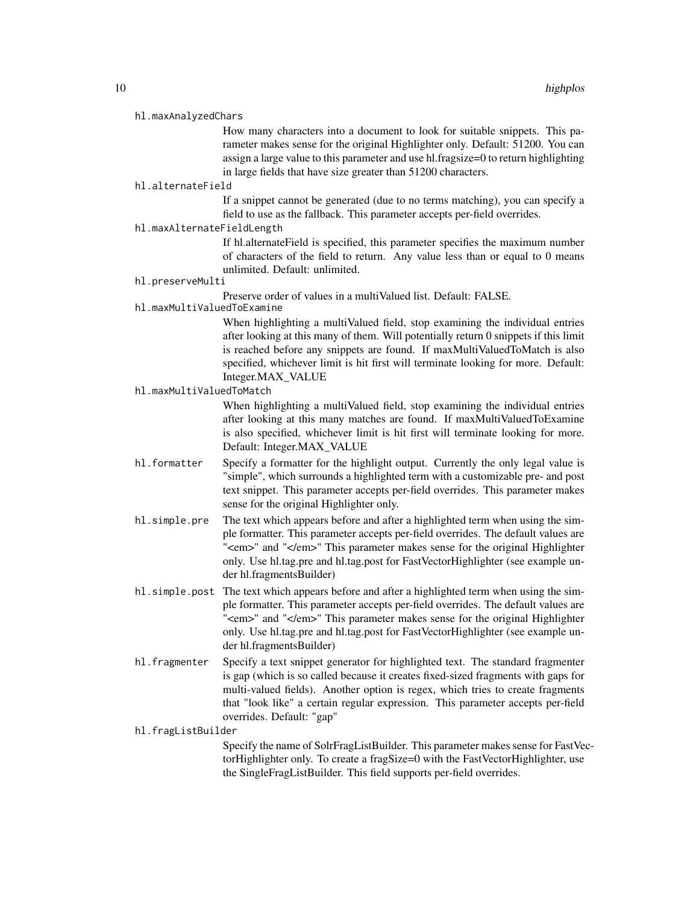#### hl.maxAnalyzedChars

How many characters into a document to look for suitable snippets. This parameter makes sense for the original Highlighter only. Default: 51200. You can assign a large value to this parameter and use hl.fragsize=0 to return highlighting in large fields that have size greater than 51200 characters.

#### hl.alternateField

If a snippet cannot be generated (due to no terms matching), you can specify a field to use as the fallback. This parameter accepts per-field overrides.

hl.maxAlternateFieldLength

If hl.alternateField is specified, this parameter specifies the maximum number of characters of the field to return. Any value less than or equal to 0 means unlimited. Default: unlimited.

# hl.preserveMulti

Preserve order of values in a multiValued list. Default: FALSE.

# hl.maxMultiValuedToExamine

When highlighting a multiValued field, stop examining the individual entries after looking at this many of them. Will potentially return 0 snippets if this limit is reached before any snippets are found. If maxMultiValuedToMatch is also specified, whichever limit is hit first will terminate looking for more. Default: Integer.MAX\_VALUE

#### hl.maxMultiValuedToMatch

When highlighting a multiValued field, stop examining the individual entries after looking at this many matches are found. If maxMultiValuedToExamine is also specified, whichever limit is hit first will terminate looking for more. Default: Integer.MAX\_VALUE

- hl.formatter Specify a formatter for the highlight output. Currently the only legal value is "simple", which surrounds a highlighted term with a customizable pre- and post text snippet. This parameter accepts per-field overrides. This parameter makes sense for the original Highlighter only.
- hl.simple.pre The text which appears before and after a highlighted term when using the simple formatter. This parameter accepts per-field overrides. The default values are "<em>" and "</em>" This parameter makes sense for the original Highlighter only. Use hl.tag.pre and hl.tag.post for FastVectorHighlighter (see example under hl.fragmentsBuilder)
- hl. simple. post The text which appears before and after a highlighted term when using the simple formatter. This parameter accepts per-field overrides. The default values are "<em>" and "</em>" This parameter makes sense for the original Highlighter only. Use hl.tag.pre and hl.tag.post for FastVectorHighlighter (see example under hl.fragmentsBuilder)
- hl.fragmenter Specify a text snippet generator for highlighted text. The standard fragmenter is gap (which is so called because it creates fixed-sized fragments with gaps for multi-valued fields). Another option is regex, which tries to create fragments that "look like" a certain regular expression. This parameter accepts per-field overrides. Default: "gap"

hl.fragListBuilder

Specify the name of SolrFragListBuilder. This parameter makes sense for FastVectorHighlighter only. To create a fragSize=0 with the FastVectorHighlighter, use the SingleFragListBuilder. This field supports per-field overrides.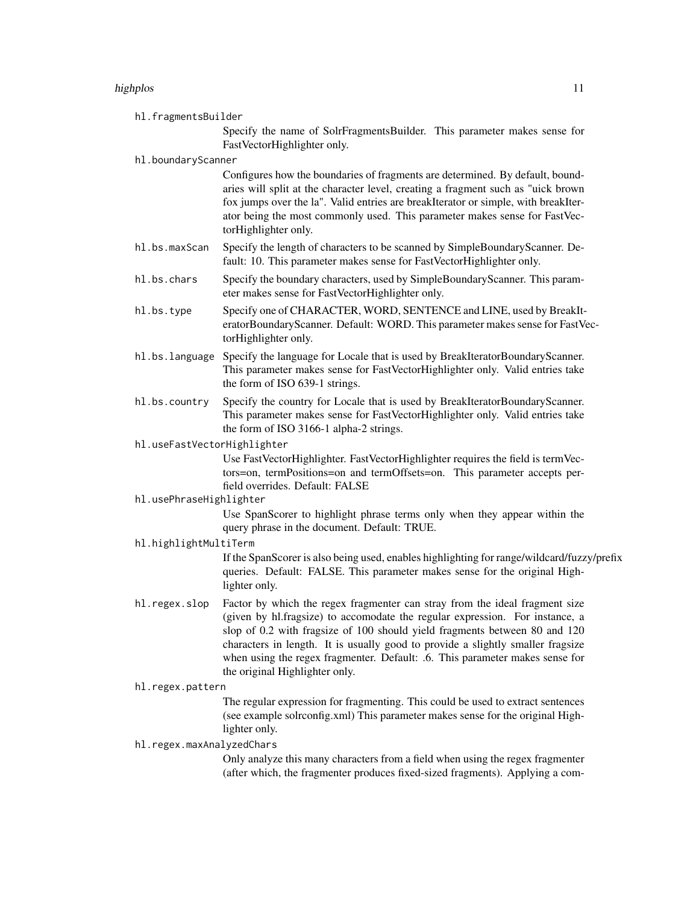#### highplos that the contract of the contract of the contract of the contract of the contract of the contract of the contract of the contract of the contract of the contract of the contract of the contract of the contract of

hl.fragmentsBuilder

Specify the name of SolrFragmentsBuilder. This parameter makes sense for FastVectorHighlighter only.

#### hl.boundaryScanner

Configures how the boundaries of fragments are determined. By default, boundaries will split at the character level, creating a fragment such as "uick brown fox jumps over the la". Valid entries are breakIterator or simple, with breakIterator being the most commonly used. This parameter makes sense for FastVectorHighlighter only.

- hl.bs.maxScan Specify the length of characters to be scanned by SimpleBoundaryScanner. Default: 10. This parameter makes sense for FastVectorHighlighter only.
- hl.bs.chars Specify the boundary characters, used by SimpleBoundaryScanner. This parameter makes sense for FastVectorHighlighter only.
- hl.bs.type Specify one of CHARACTER, WORD, SENTENCE and LINE, used by BreakIteratorBoundaryScanner. Default: WORD. This parameter makes sense for FastVectorHighlighter only.
- hl.bs.language Specify the language for Locale that is used by BreakIteratorBoundaryScanner. This parameter makes sense for FastVectorHighlighter only. Valid entries take the form of ISO 639-1 strings.
- hl.bs.country Specify the country for Locale that is used by BreakIteratorBoundaryScanner. This parameter makes sense for FastVectorHighlighter only. Valid entries take the form of ISO 3166-1 alpha-2 strings.

hl.useFastVectorHighlighter

Use FastVectorHighlighter. FastVectorHighlighter requires the field is termVectors=on, termPositions=on and termOffsets=on. This parameter accepts perfield overrides. Default: FALSE

#### hl.usePhraseHighlighter

Use SpanScorer to highlight phrase terms only when they appear within the query phrase in the document. Default: TRUE.

hl.highlightMultiTerm

If the SpanScorer is also being used, enables highlighting for range/wildcard/fuzzy/prefix queries. Default: FALSE. This parameter makes sense for the original Highlighter only.

hl.regex.slop Factor by which the regex fragmenter can stray from the ideal fragment size (given by hl.fragsize) to accomodate the regular expression. For instance, a slop of 0.2 with fragsize of 100 should yield fragments between 80 and 120 characters in length. It is usually good to provide a slightly smaller fragsize when using the regex fragmenter. Default: .6. This parameter makes sense for the original Highlighter only.

#### hl.regex.pattern

The regular expression for fragmenting. This could be used to extract sentences (see example solrconfig.xml) This parameter makes sense for the original Highlighter only.

# hl.regex.maxAnalyzedChars

Only analyze this many characters from a field when using the regex fragmenter (after which, the fragmenter produces fixed-sized fragments). Applying a com-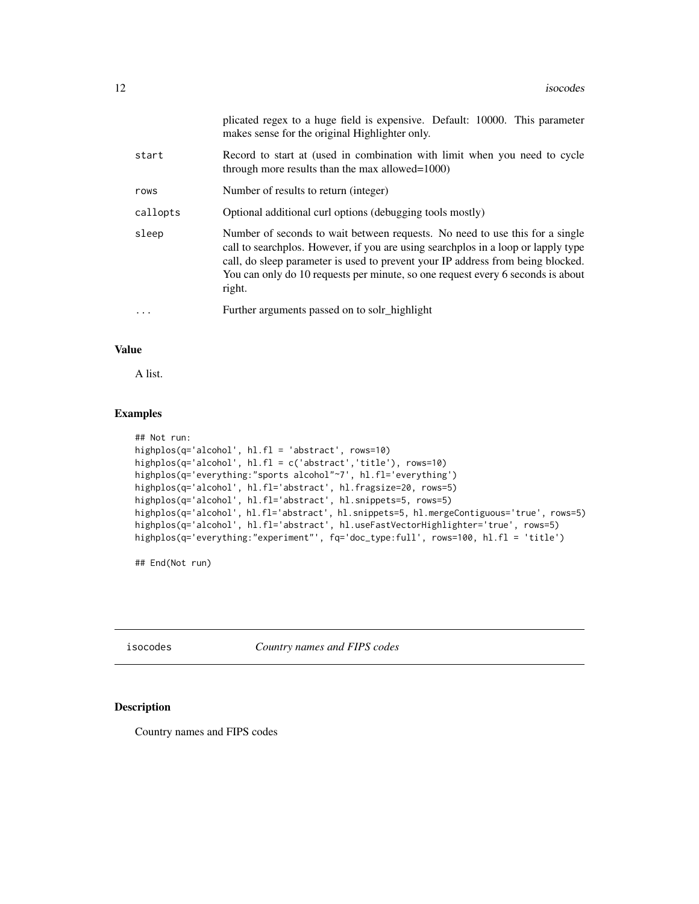<span id="page-11-0"></span>

|          | plicated regex to a huge field is expensive. Default: 10000. This parameter<br>makes sense for the original Highlighter only.                                                                                                                                                                                                                     |
|----------|---------------------------------------------------------------------------------------------------------------------------------------------------------------------------------------------------------------------------------------------------------------------------------------------------------------------------------------------------|
| start    | Record to start at (used in combination with limit when you need to cycle<br>through more results than the max allowed= $1000$ )                                                                                                                                                                                                                  |
| rows     | Number of results to return (integer)                                                                                                                                                                                                                                                                                                             |
| callopts | Optional additional curl options (debugging tools mostly)                                                                                                                                                                                                                                                                                         |
| sleep    | Number of seconds to wait between requests. No need to use this for a single<br>call to searchplos. However, if you are using searchplos in a loop or lapply type<br>call, do sleep parameter is used to prevent your IP address from being blocked.<br>You can only do 10 requests per minute, so one request every 6 seconds is about<br>right. |
|          | Further arguments passed on to solr_highlight                                                                                                                                                                                                                                                                                                     |

#### Value

A list.

# Examples

```
## Not run:
highplos(q='alcohol', hl.fl = 'abstract', rows=10)
highplos(q='alcohol', hl.fl = c('abstract','title'), rows=10)
highplos(q='everything:"sports alcohol"~7', hl.fl='everything')
highplos(q='alcohol', hl.fl='abstract', hl.fragsize=20, rows=5)
highplos(q='alcohol', hl.fl='abstract', hl.snippets=5, rows=5)
highplos(q='alcohol', hl.fl='abstract', hl.snippets=5, hl.mergeContiguous='true', rows=5)
highplos(q='alcohol', hl.fl='abstract', hl.useFastVectorHighlighter='true', rows=5)
highplos(q='everything:"experiment"', fq='doc_type:full', rows=100, hl.fl = 'title')
```
## End(Not run)

isocodes *Country names and FIPS codes*

# Description

Country names and FIPS codes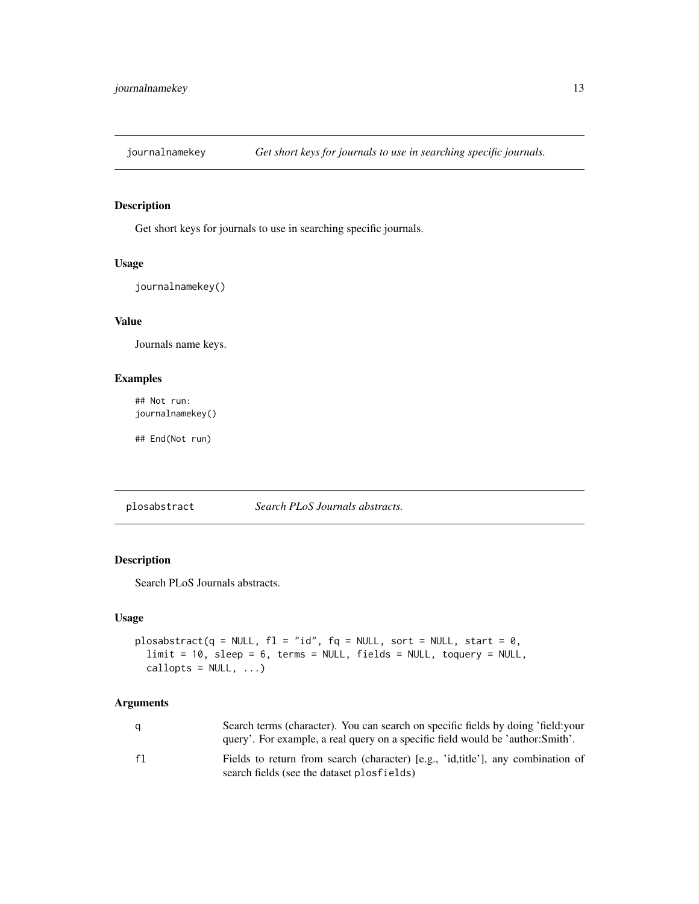<span id="page-12-1"></span><span id="page-12-0"></span>

# Description

Get short keys for journals to use in searching specific journals.

# Usage

journalnamekey()

# Value

Journals name keys.

#### Examples

## Not run: journalnamekey()

## End(Not run)

plosabstract *Search PLoS Journals abstracts.*

# Description

Search PLoS Journals abstracts.

#### Usage

```
plosabstract(q = NULL, fl = "id", fq = NULL, sort = NULL, start = \theta,
  limit = 10, sleep = 6, terms = NULL, fields = NULL, toquery = NULL,
  callopts = NULL, ...)
```

| a  | Search terms (character). You can search on specific fields by doing 'field: your<br>query'. For example, a real query on a specific field would be 'author: Smith'. |
|----|----------------------------------------------------------------------------------------------------------------------------------------------------------------------|
| f1 | Fields to return from search (character) [e.g., 'id,title'], any combination of<br>search fields (see the dataset plosfields)                                        |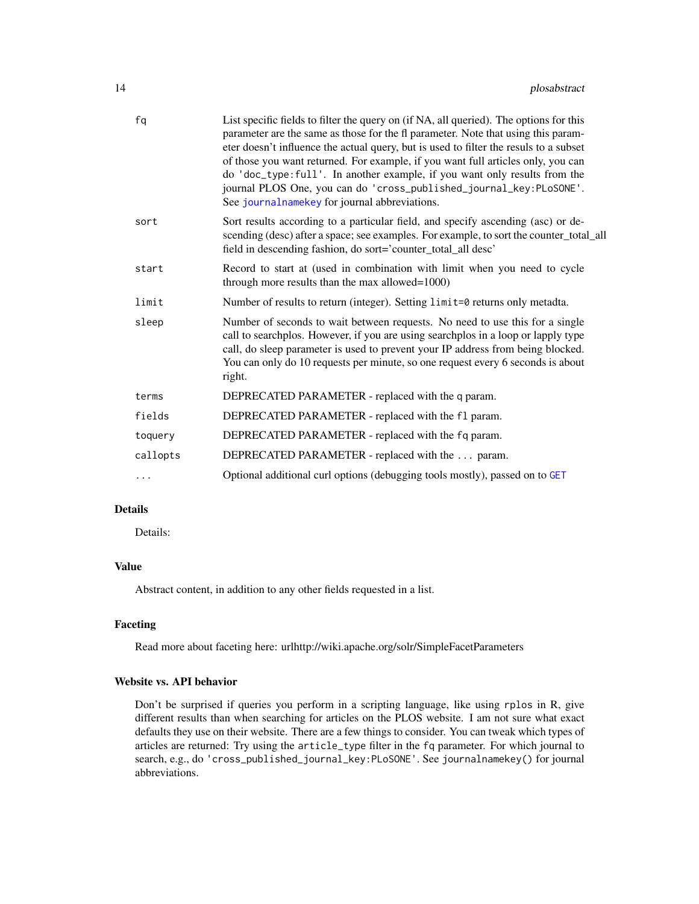<span id="page-13-0"></span>

| fq       | List specific fields to filter the query on (if NA, all queried). The options for this<br>parameter are the same as those for the fl parameter. Note that using this param-<br>eter doesn't influence the actual query, but is used to filter the resuls to a subset<br>of those you want returned. For example, if you want full articles only, you can<br>do 'doc_type:full'. In another example, if you want only results from the<br>journal PLOS One, you can do 'cross_published_journal_key:PLoSONE'.<br>See journal name key for journal abbreviations. |
|----------|-----------------------------------------------------------------------------------------------------------------------------------------------------------------------------------------------------------------------------------------------------------------------------------------------------------------------------------------------------------------------------------------------------------------------------------------------------------------------------------------------------------------------------------------------------------------|
| sort     | Sort results according to a particular field, and specify ascending (asc) or de-<br>scending (desc) after a space; see examples. For example, to sort the counter_total_all<br>field in descending fashion, do sort='counter_total_all desc'                                                                                                                                                                                                                                                                                                                    |
| start    | Record to start at (used in combination with limit when you need to cycle<br>through more results than the max allowed=1000)                                                                                                                                                                                                                                                                                                                                                                                                                                    |
| limit    | Number of results to return (integer). Setting limit=0 returns only metadta.                                                                                                                                                                                                                                                                                                                                                                                                                                                                                    |
| sleep    | Number of seconds to wait between requests. No need to use this for a single<br>call to searchplos. However, if you are using searchplos in a loop or lapply type<br>call, do sleep parameter is used to prevent your IP address from being blocked.<br>You can only do 10 requests per minute, so one request every 6 seconds is about<br>right.                                                                                                                                                                                                               |
| terms    | DEPRECATED PARAMETER - replaced with the q param.                                                                                                                                                                                                                                                                                                                                                                                                                                                                                                               |
| fields   | DEPRECATED PARAMETER - replaced with the f1 param.                                                                                                                                                                                                                                                                                                                                                                                                                                                                                                              |
| toquery  | DEPRECATED PARAMETER - replaced with the fq param.                                                                                                                                                                                                                                                                                                                                                                                                                                                                                                              |
| callopts | DEPRECATED PARAMETER - replaced with the  param.                                                                                                                                                                                                                                                                                                                                                                                                                                                                                                                |
| .        | Optional additional curl options (debugging tools mostly), passed on to GET                                                                                                                                                                                                                                                                                                                                                                                                                                                                                     |

# Details

Details:

# Value

Abstract content, in addition to any other fields requested in a list.

# Faceting

Read more about faceting here: urlhttp://wiki.apache.org/solr/SimpleFacetParameters

# Website vs. API behavior

Don't be surprised if queries you perform in a scripting language, like using rplos in R, give different results than when searching for articles on the PLOS website. I am not sure what exact defaults they use on their website. There are a few things to consider. You can tweak which types of articles are returned: Try using the article\_type filter in the fq parameter. For which journal to search, e.g., do 'cross\_published\_journal\_key:PLoSONE'. See journalnamekey() for journal abbreviations.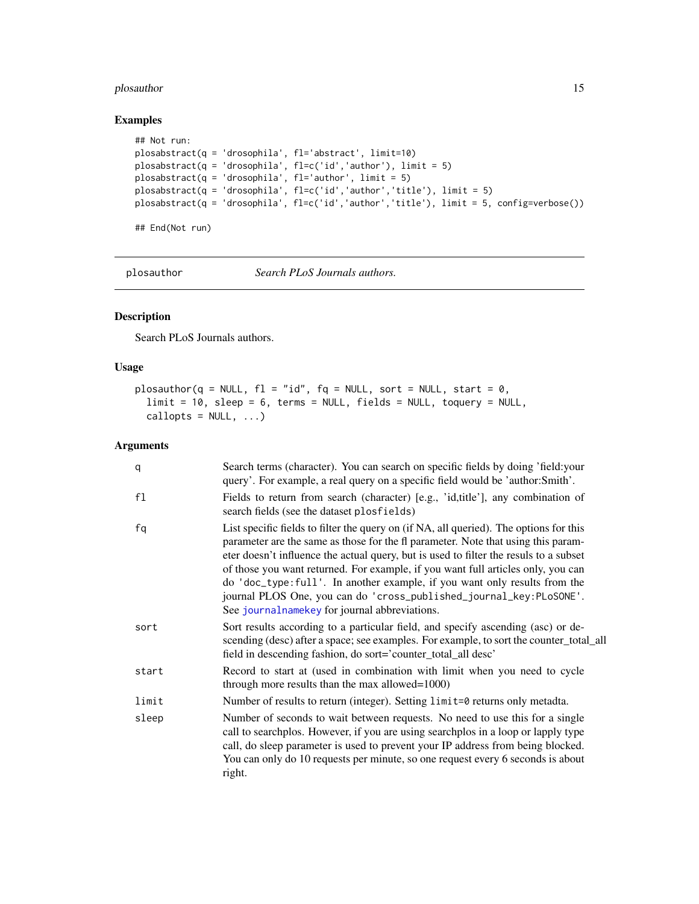# <span id="page-14-0"></span>plosauthor 15

# Examples

```
## Not run:
plosabstract(q = 'drosophila', fl='abstract', limit=10)
plosabstract(q = 'drosophila', fl=c('id','author'), limit = 5)
plosabstract(q = 'drosophila', fl='author', limit = 5)
plosabstract(q = 'drosophila', fl=c('id','author','title'), limit = 5)
plosabstract(q = 'drosophila', fl=c('id','author','title'), limit = 5, config=verbose())
## End(Not run)
```
plosauthor *Search PLoS Journals authors.*

#### Description

Search PLoS Journals authors.

#### Usage

```
plosauthor(q = NULL, f1 = "id", fq = NULL, sort = NULL, start = 0,limit = 10, sleep = 6, terms = NULL, fields = NULL, toquery = NULL,
  callopts = NULL, ...
```

| q     | Search terms (character). You can search on specific fields by doing 'field: your<br>query'. For example, a real query on a specific field would be 'author:Smith'.                                                                                                                                                                                                                                                                                                                                                                                           |
|-------|---------------------------------------------------------------------------------------------------------------------------------------------------------------------------------------------------------------------------------------------------------------------------------------------------------------------------------------------------------------------------------------------------------------------------------------------------------------------------------------------------------------------------------------------------------------|
| f1    | Fields to return from search (character) [e.g., 'id, title'], any combination of<br>search fields (see the dataset plosfields)                                                                                                                                                                                                                                                                                                                                                                                                                                |
| fq    | List specific fields to filter the query on (if NA, all queried). The options for this<br>parameter are the same as those for the fl parameter. Note that using this param-<br>eter doesn't influence the actual query, but is used to filter the resuls to a subset<br>of those you want returned. For example, if you want full articles only, you can<br>do 'doc_type:full'. In another example, if you want only results from the<br>journal PLOS One, you can do 'cross_published_journal_key:PLoSONE'.<br>See journalnamekey for journal abbreviations. |
| sort  | Sort results according to a particular field, and specify ascending (asc) or de-<br>scending (desc) after a space; see examples. For example, to sort the counter_total_all<br>field in descending fashion, do sort='counter_total_all desc'                                                                                                                                                                                                                                                                                                                  |
| start | Record to start at (used in combination with limit when you need to cycle<br>through more results than the max allowed= $1000$ )                                                                                                                                                                                                                                                                                                                                                                                                                              |
| limit | Number of results to return (integer). Setting limit=0 returns only metadta.                                                                                                                                                                                                                                                                                                                                                                                                                                                                                  |
| sleep | Number of seconds to wait between requests. No need to use this for a single<br>call to searchplos. However, if you are using searchplos in a loop or lapply type<br>call, do sleep parameter is used to prevent your IP address from being blocked.<br>You can only do 10 requests per minute, so one request every 6 seconds is about<br>right.                                                                                                                                                                                                             |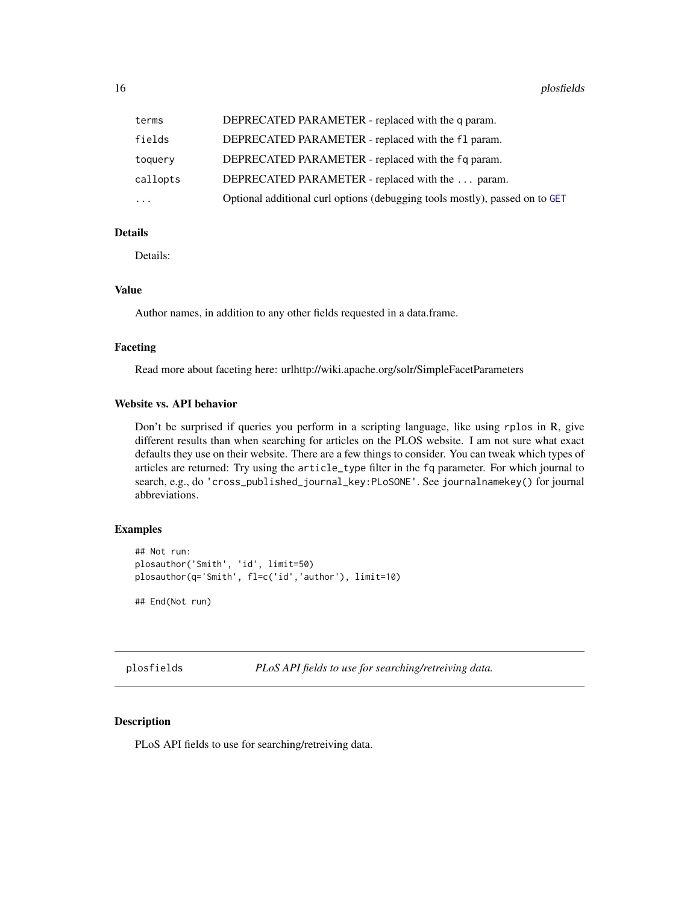<span id="page-15-0"></span>

| terms     | DEPRECATED PARAMETER - replaced with the q param.                           |
|-----------|-----------------------------------------------------------------------------|
| fields    | DEPRECATED PARAMETER - replaced with the f1 param.                          |
| toquery   | DEPRECATED PARAMETER - replaced with the fq param.                          |
| callopts  | DEPRECATED PARAMETER - replaced with the  param.                            |
| $\ddotsc$ | Optional additional curl options (debugging tools mostly), passed on to GET |

# Details

Details:

# Value

Author names, in addition to any other fields requested in a data.frame.

# Faceting

Read more about faceting here: urlhttp://wiki.apache.org/solr/SimpleFacetParameters

#### Website vs. API behavior

Don't be surprised if queries you perform in a scripting language, like using rplos in R, give different results than when searching for articles on the PLOS website. I am not sure what exact defaults they use on their website. There are a few things to consider. You can tweak which types of articles are returned: Try using the article\_type filter in the fq parameter. For which journal to search, e.g., do 'cross\_published\_journal\_key:PLoSONE'. See journalnamekey() for journal abbreviations.

#### Examples

```
## Not run:
plosauthor('Smith', 'id', limit=50)
plosauthor(q='Smith', fl=c('id','author'), limit=10)
```
## End(Not run)

plosfields *PLoS API fields to use for searching/retreiving data.*

# Description

PLoS API fields to use for searching/retreiving data.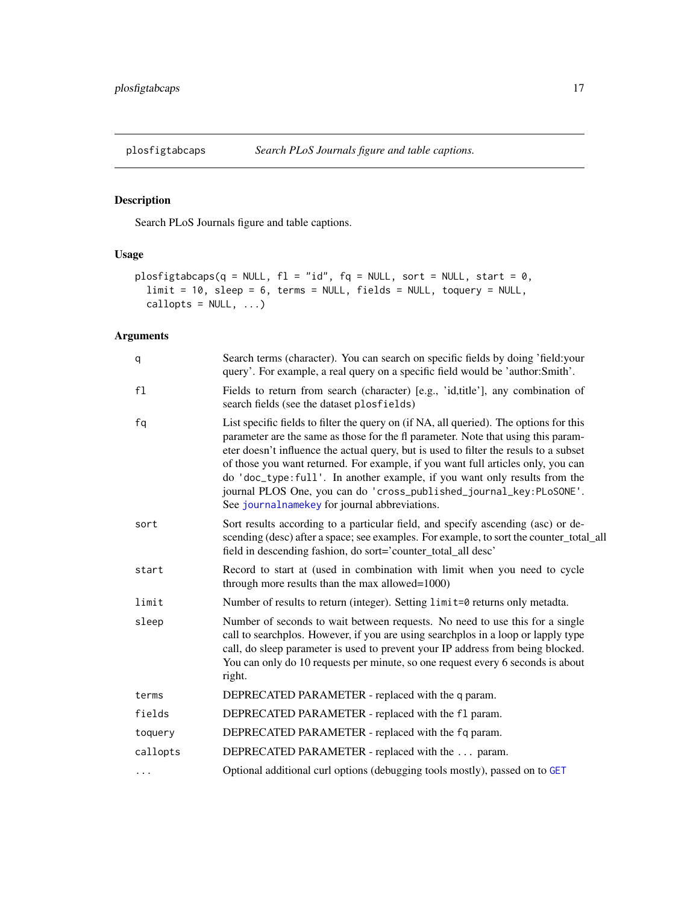<span id="page-16-0"></span>

# Description

Search PLoS Journals figure and table captions.

# Usage

```
plosfigtabcaps(q = NULL, fl = "id", fq = NULL, sort = NULL, start = \theta,
  limit = 10, sleep = 6, terms = NULL, fields = NULL, toquery = NULL,
  callopts = NULL, ...
```

| q        | Search terms (character). You can search on specific fields by doing 'field: your<br>query'. For example, a real query on a specific field would be 'author:Smith'.                                                                                                                                                                                                                                                                                                                                                                                           |
|----------|---------------------------------------------------------------------------------------------------------------------------------------------------------------------------------------------------------------------------------------------------------------------------------------------------------------------------------------------------------------------------------------------------------------------------------------------------------------------------------------------------------------------------------------------------------------|
| f1       | Fields to return from search (character) [e.g., 'id,title'], any combination of<br>search fields (see the dataset plosfields)                                                                                                                                                                                                                                                                                                                                                                                                                                 |
| fq       | List specific fields to filter the query on (if NA, all queried). The options for this<br>parameter are the same as those for the fl parameter. Note that using this param-<br>eter doesn't influence the actual query, but is used to filter the resuls to a subset<br>of those you want returned. For example, if you want full articles only, you can<br>do 'doc_type:full'. In another example, if you want only results from the<br>journal PLOS One, you can do 'cross_published_journal_key:PLoSONE'.<br>See journalnamekey for journal abbreviations. |
| sort     | Sort results according to a particular field, and specify ascending (asc) or de-<br>scending (desc) after a space; see examples. For example, to sort the counter_total_all<br>field in descending fashion, do sort='counter_total_all desc'                                                                                                                                                                                                                                                                                                                  |
| start    | Record to start at (used in combination with limit when you need to cycle<br>through more results than the max allowed=1000)                                                                                                                                                                                                                                                                                                                                                                                                                                  |
| limit    | Number of results to return (integer). Setting limit=0 returns only metadta.                                                                                                                                                                                                                                                                                                                                                                                                                                                                                  |
| sleep    | Number of seconds to wait between requests. No need to use this for a single<br>call to searchplos. However, if you are using searchplos in a loop or lapply type<br>call, do sleep parameter is used to prevent your IP address from being blocked.<br>You can only do 10 requests per minute, so one request every 6 seconds is about<br>right.                                                                                                                                                                                                             |
| terms    | DEPRECATED PARAMETER - replaced with the q param.                                                                                                                                                                                                                                                                                                                                                                                                                                                                                                             |
| fields   | DEPRECATED PARAMETER - replaced with the f1 param.                                                                                                                                                                                                                                                                                                                                                                                                                                                                                                            |
| toquery  | DEPRECATED PARAMETER - replaced with the fq param.                                                                                                                                                                                                                                                                                                                                                                                                                                                                                                            |
| callopts | DEPRECATED PARAMETER - replaced with the  param.                                                                                                                                                                                                                                                                                                                                                                                                                                                                                                              |
| $\cdots$ | Optional additional curl options (debugging tools mostly), passed on to GET                                                                                                                                                                                                                                                                                                                                                                                                                                                                                   |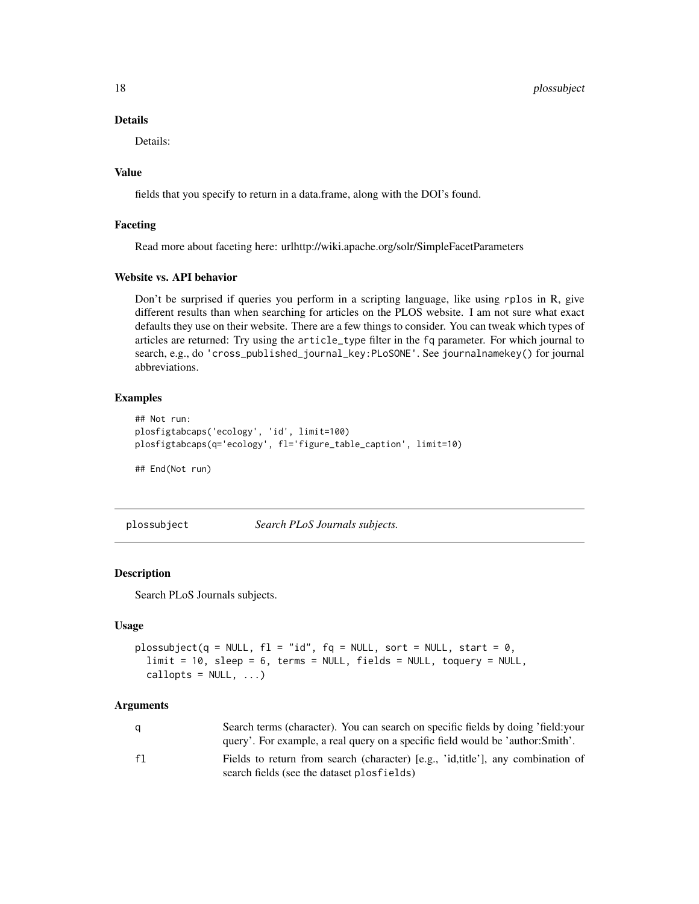<span id="page-17-0"></span>18 plossubject

# Details

Details:

# Value

fields that you specify to return in a data.frame, along with the DOI's found.

# Faceting

Read more about faceting here: urlhttp://wiki.apache.org/solr/SimpleFacetParameters

# Website vs. API behavior

Don't be surprised if queries you perform in a scripting language, like using rplos in R, give different results than when searching for articles on the PLOS website. I am not sure what exact defaults they use on their website. There are a few things to consider. You can tweak which types of articles are returned: Try using the article\_type filter in the fq parameter. For which journal to search, e.g., do 'cross\_published\_journal\_key:PLoSONE'. See journalnamekey() for journal abbreviations.

# Examples

```
## Not run:
plosfigtabcaps('ecology', 'id', limit=100)
plosfigtabcaps(q='ecology', fl='figure_table_caption', limit=10)
## End(Not run)
```
plossubject *Search PLoS Journals subjects.*

#### Description

Search PLoS Journals subjects.

#### Usage

```
plossubject(q = NULL, f1 = "id", fq = NULL, sort = NULL, start = 0,limit = 10, sleep = 6, terms = NULL, fields = NULL, toquery = NULL,
  callopts = NULL, ...)
```

| q  | Search terms (character). You can search on specific fields by doing 'field: your |
|----|-----------------------------------------------------------------------------------|
|    | query'. For example, a real query on a specific field would be 'author: Smith'.   |
| f1 | Fields to return from search (character) [e.g., 'id,title'], any combination of   |
|    | search fields (see the dataset plosfields)                                        |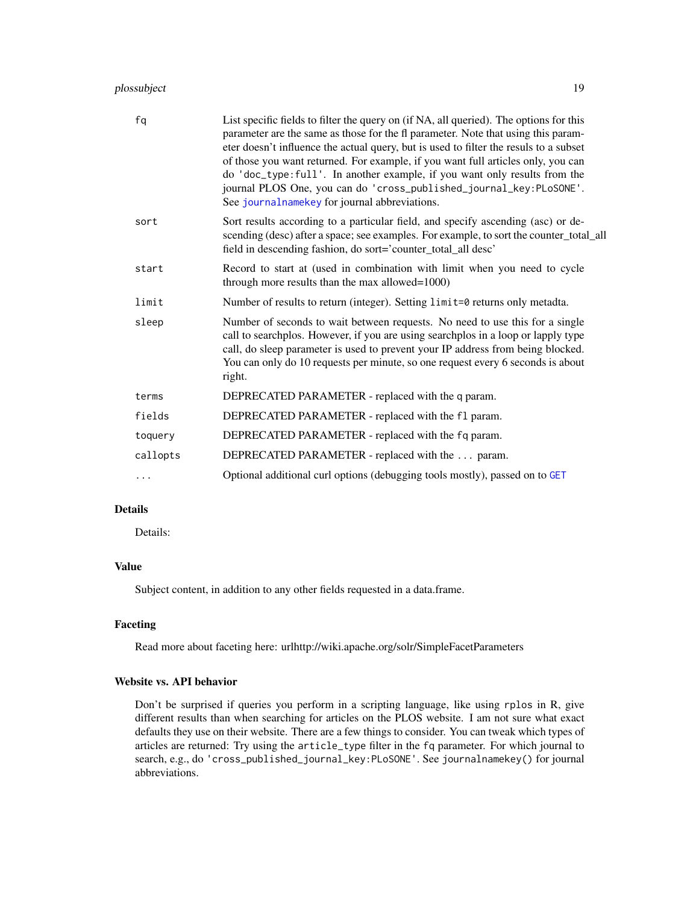# <span id="page-18-0"></span>plossubject 19

| fq       | List specific fields to filter the query on (if NA, all queried). The options for this<br>parameter are the same as those for the fl parameter. Note that using this param-<br>eter doesn't influence the actual query, but is used to filter the resuls to a subset<br>of those you want returned. For example, if you want full articles only, you can<br>do 'doc_type:full'. In another example, if you want only results from the<br>journal PLOS One, you can do 'cross_published_journal_key:PLoSONE'.<br>See journal name key for journal abbreviations. |
|----------|-----------------------------------------------------------------------------------------------------------------------------------------------------------------------------------------------------------------------------------------------------------------------------------------------------------------------------------------------------------------------------------------------------------------------------------------------------------------------------------------------------------------------------------------------------------------|
| sort     | Sort results according to a particular field, and specify ascending (asc) or de-<br>scending (desc) after a space; see examples. For example, to sort the counter_total_all<br>field in descending fashion, do sort='counter_total_all desc'                                                                                                                                                                                                                                                                                                                    |
| start    | Record to start at (used in combination with limit when you need to cycle<br>through more results than the max allowed=1000)                                                                                                                                                                                                                                                                                                                                                                                                                                    |
| limit    | Number of results to return (integer). Setting limit=0 returns only metadta.                                                                                                                                                                                                                                                                                                                                                                                                                                                                                    |
| sleep    | Number of seconds to wait between requests. No need to use this for a single<br>call to searchplos. However, if you are using searchplos in a loop or lapply type<br>call, do sleep parameter is used to prevent your IP address from being blocked.<br>You can only do 10 requests per minute, so one request every 6 seconds is about<br>right.                                                                                                                                                                                                               |
| terms    | DEPRECATED PARAMETER - replaced with the q param.                                                                                                                                                                                                                                                                                                                                                                                                                                                                                                               |
| fields   | DEPRECATED PARAMETER - replaced with the f1 param.                                                                                                                                                                                                                                                                                                                                                                                                                                                                                                              |
| toquery  | DEPRECATED PARAMETER - replaced with the fq param.                                                                                                                                                                                                                                                                                                                                                                                                                                                                                                              |
| callopts | DEPRECATED PARAMETER - replaced with the  param.                                                                                                                                                                                                                                                                                                                                                                                                                                                                                                                |
| $\cdots$ | Optional additional curl options (debugging tools mostly), passed on to GET                                                                                                                                                                                                                                                                                                                                                                                                                                                                                     |

# Details

Details:

# Value

Subject content, in addition to any other fields requested in a data.frame.

# Faceting

Read more about faceting here: urlhttp://wiki.apache.org/solr/SimpleFacetParameters

# Website vs. API behavior

Don't be surprised if queries you perform in a scripting language, like using rplos in R, give different results than when searching for articles on the PLOS website. I am not sure what exact defaults they use on their website. There are a few things to consider. You can tweak which types of articles are returned: Try using the article\_type filter in the fq parameter. For which journal to search, e.g., do 'cross\_published\_journal\_key:PLoSONE'. See journalnamekey() for journal abbreviations.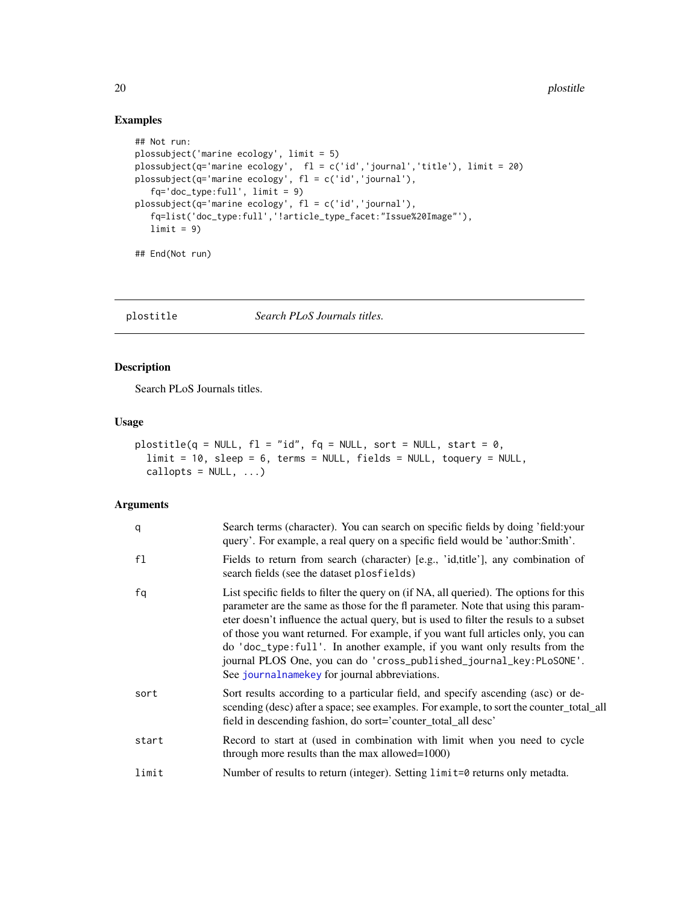# Examples

```
## Not run:
plossubject('marine ecology', limit = 5)
plossubject(q='marine ecology', fl = c('id','journal','title'), limit = 20)
plossubject(q='marine ecology', fl = c('id','journal'),
   fq='doc_type:full', limit = 9)
plossubject(q='marine ecology', fl = c('id','journal'),
   fq=list('doc_type:full','!article_type_facet:"Issue%20Image"'),
   limit = 9)
## End(Not run)
```
plostitle *Search PLoS Journals titles.*

# Description

Search PLoS Journals titles.

# Usage

```
plostitle(q = NULL, f1 = "id", fq = NULL, sort = NULL, start = 0,limit = 10, sleep = 6, terms = NULL, fields = NULL, toquery = NULL,
 callopts = NULL, ...)
```

| q              | Search terms (character). You can search on specific fields by doing 'field: your<br>query'. For example, a real query on a specific field would be 'author:Smith'.                                                                                                                                                                                                                                                                                                                                                                                             |
|----------------|-----------------------------------------------------------------------------------------------------------------------------------------------------------------------------------------------------------------------------------------------------------------------------------------------------------------------------------------------------------------------------------------------------------------------------------------------------------------------------------------------------------------------------------------------------------------|
| f <sub>1</sub> | Fields to return from search (character) [e.g., 'id, title'], any combination of<br>search fields (see the dataset plosfields)                                                                                                                                                                                                                                                                                                                                                                                                                                  |
| fq             | List specific fields to filter the query on (if NA, all queried). The options for this<br>parameter are the same as those for the fl parameter. Note that using this param-<br>eter doesn't influence the actual query, but is used to filter the resuls to a subset<br>of those you want returned. For example, if you want full articles only, you can<br>do 'doc_type:full'. In another example, if you want only results from the<br>journal PLOS One, you can do 'cross_published_journal_key:PLoSONE'.<br>See journal name key for journal abbreviations. |
| sort           | Sort results according to a particular field, and specify ascending (asc) or de-<br>scending (desc) after a space; see examples. For example, to sort the counter_total_all<br>field in descending fashion, do sort='counter_total_all desc'                                                                                                                                                                                                                                                                                                                    |
| start          | Record to start at (used in combination with limit when you need to cycle<br>through more results than the max allowed=1000)                                                                                                                                                                                                                                                                                                                                                                                                                                    |
| limit          | Number of results to return (integer). Setting limit=0 returns only metadta.                                                                                                                                                                                                                                                                                                                                                                                                                                                                                    |

<span id="page-19-0"></span>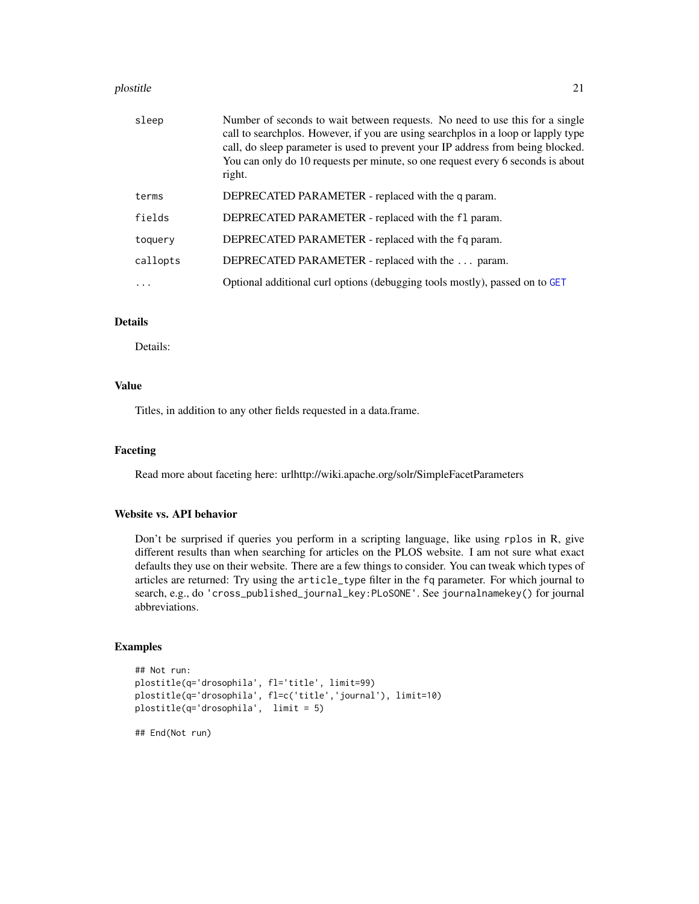#### <span id="page-20-0"></span>plostitle 21

| sleep    | Number of seconds to wait between requests. No need to use this for a single<br>call to searchplos. However, if you are using searchplos in a loop or lapply type<br>call, do sleep parameter is used to prevent your IP address from being blocked.<br>You can only do 10 requests per minute, so one request every 6 seconds is about<br>right. |
|----------|---------------------------------------------------------------------------------------------------------------------------------------------------------------------------------------------------------------------------------------------------------------------------------------------------------------------------------------------------|
| terms    | DEPRECATED PARAMETER - replaced with the q param.                                                                                                                                                                                                                                                                                                 |
| fields   | DEPRECATED PARAMETER - replaced with the f1 param.                                                                                                                                                                                                                                                                                                |
| toquery  | DEPRECATED PARAMETER - replaced with the fq param.                                                                                                                                                                                                                                                                                                |
| callopts | DEPRECATED PARAMETER - replaced with the  param.                                                                                                                                                                                                                                                                                                  |
|          | Optional additional curl options (debugging tools mostly), passed on to GET                                                                                                                                                                                                                                                                       |
|          |                                                                                                                                                                                                                                                                                                                                                   |

# Details

Details:

#### Value

Titles, in addition to any other fields requested in a data.frame.

#### Faceting

Read more about faceting here: urlhttp://wiki.apache.org/solr/SimpleFacetParameters

# Website vs. API behavior

Don't be surprised if queries you perform in a scripting language, like using rplos in R, give different results than when searching for articles on the PLOS website. I am not sure what exact defaults they use on their website. There are a few things to consider. You can tweak which types of articles are returned: Try using the article\_type filter in the fq parameter. For which journal to search, e.g., do 'cross\_published\_journal\_key:PLoSONE'. See journalnamekey() for journal abbreviations.

# Examples

```
## Not run:
plostitle(q='drosophila', fl='title', limit=99)
plostitle(q='drosophila', fl=c('title','journal'), limit=10)
plostitle(q='drosophila', limit = 5)
## End(Not run)
```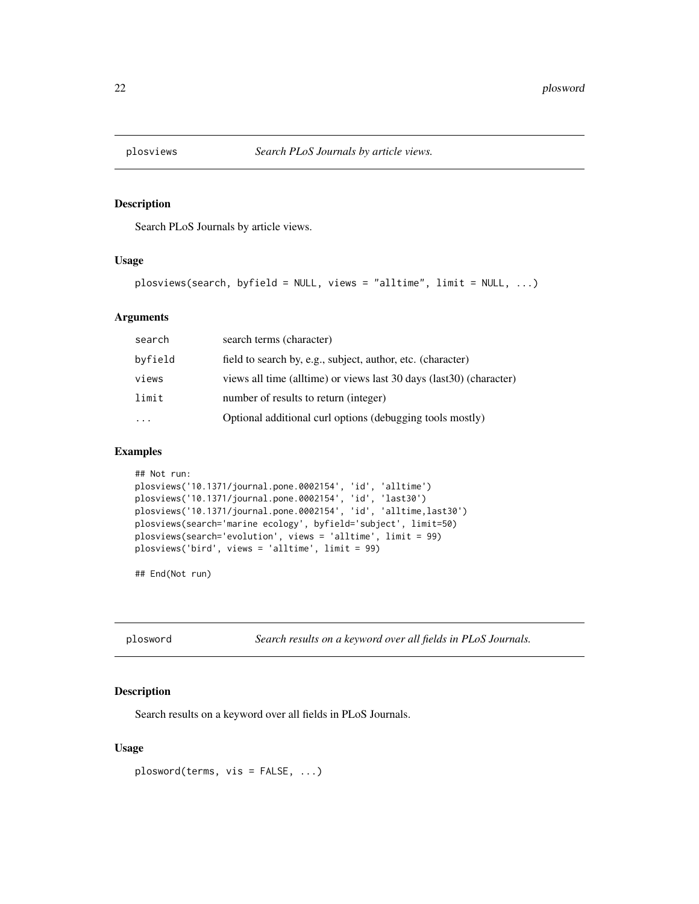<span id="page-21-0"></span>

#### Description

Search PLoS Journals by article views.

# Usage

```
plosviews(search, byfield = NULL, views = "alltime", limit = NULL, ...)
```
# Arguments

| search  | search terms (character)                                              |
|---------|-----------------------------------------------------------------------|
| byfield | field to search by, e.g., subject, author, etc. (character)           |
| views   | views all time (all time) or views last 30 days (last 30) (character) |
| limit   | number of results to return (integer)                                 |
|         | Optional additional curl options (debugging tools mostly)             |

# Examples

```
## Not run:
plosviews('10.1371/journal.pone.0002154', 'id', 'alltime')
plosviews('10.1371/journal.pone.0002154', 'id', 'last30')
plosviews('10.1371/journal.pone.0002154', 'id', 'alltime,last30')
plosviews(search='marine ecology', byfield='subject', limit=50)
plosviews(search='evolution', views = 'alltime', limit = 99)
plosviews('bird', views = 'alltime', limit = 99)
```
## End(Not run)

plosword *Search results on a keyword over all fields in PLoS Journals.*

### Description

Search results on a keyword over all fields in PLoS Journals.

# Usage

```
plosword(terms, vis = FALSE, ...)
```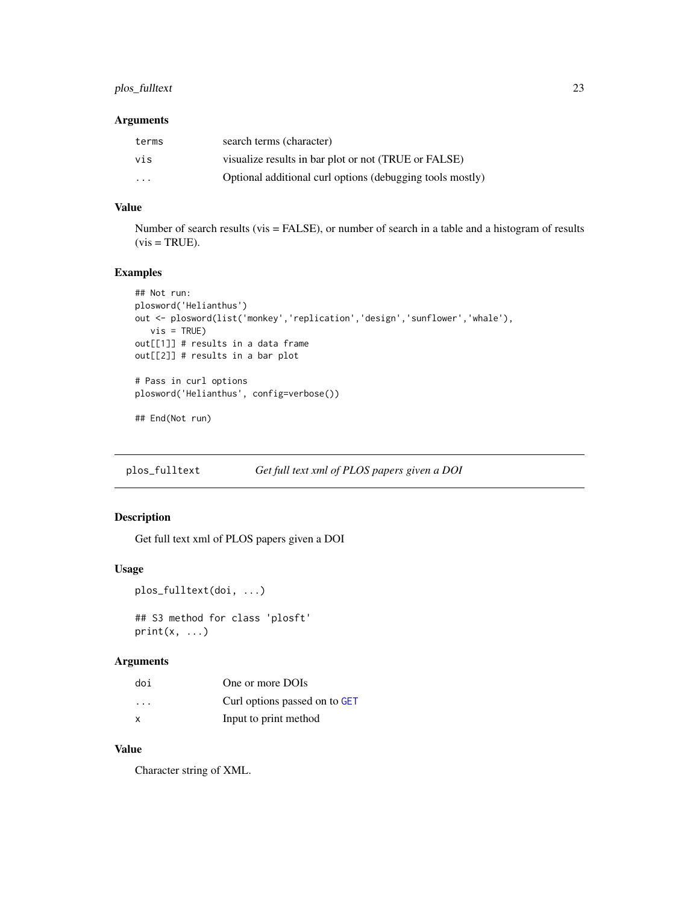# <span id="page-22-0"></span>plos\_fulltext 23

# Arguments

| terms | search terms (character)                                  |
|-------|-----------------------------------------------------------|
| vis   | visualize results in bar plot or not (TRUE or FALSE)      |
| .     | Optional additional curl options (debugging tools mostly) |

# Value

Number of search results (vis = FALSE), or number of search in a table and a histogram of results  $(vis = TRUE).$ 

# Examples

```
## Not run:
plosword('Helianthus')
out <- plosword(list('monkey','replication','design','sunflower','whale'),
  vis = TRUE)
out[[1]] # results in a data frame
out[[2]] # results in a bar plot
# Pass in curl options
plosword('Helianthus', config=verbose())
## End(Not run)
```
plos\_fulltext *Get full text xml of PLOS papers given a DOI*

# Description

Get full text xml of PLOS papers given a DOI

#### Usage

```
plos_fulltext(doi, ...)
```
## S3 method for class 'plosft'  $print(x, \ldots)$ 

# Arguments

| doi                     | One or more DOIs              |
|-------------------------|-------------------------------|
| $\cdot$ $\cdot$ $\cdot$ | Curl options passed on to GET |
| x                       | Input to print method         |

# Value

Character string of XML.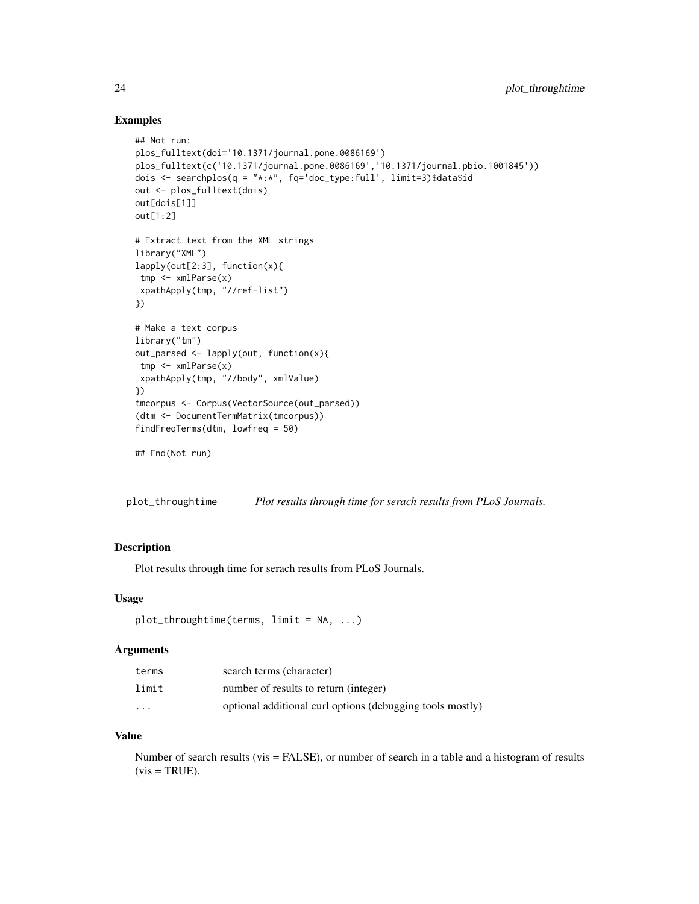# Examples

```
## Not run:
plos_fulltext(doi='10.1371/journal.pone.0086169')
plos_fulltext(c('10.1371/journal.pone.0086169','10.1371/journal.pbio.1001845'))
dois <- searchplos(q = "*:*", fq='doc_type:full', limit=3)$data$id
out <- plos_fulltext(dois)
out[dois[1]]
out[1:2]
# Extract text from the XML strings
library("XML")
lapply(out[2:3], function(x){
tmp <- xmlParse(x)
xpathApply(tmp, "//ref-list")
})
# Make a text corpus
library("tm")
out_parsed <- lapply(out, function(x){
tmp <- xmlParse(x)
 xpathApply(tmp, "//body", xmlValue)
})
tmcorpus <- Corpus(VectorSource(out_parsed))
(dtm <- DocumentTermMatrix(tmcorpus))
findFreqTerms(dtm, lowfreq = 50)
## End(Not run)
```
plot\_throughtime *Plot results through time for serach results from PLoS Journals.*

#### Description

Plot results through time for serach results from PLoS Journals.

#### Usage

```
plot_{\text{throughtime}}(terms, limit = NA, ...)
```
#### **Arguments**

| terms    | search terms (character)                                  |
|----------|-----------------------------------------------------------|
| limit    | number of results to return (integer)                     |
| $\cdots$ | optional additional curl options (debugging tools mostly) |

# Value

Number of search results (vis = FALSE), or number of search in a table and a histogram of results  $(vis = TRUE).$ 

<span id="page-23-0"></span>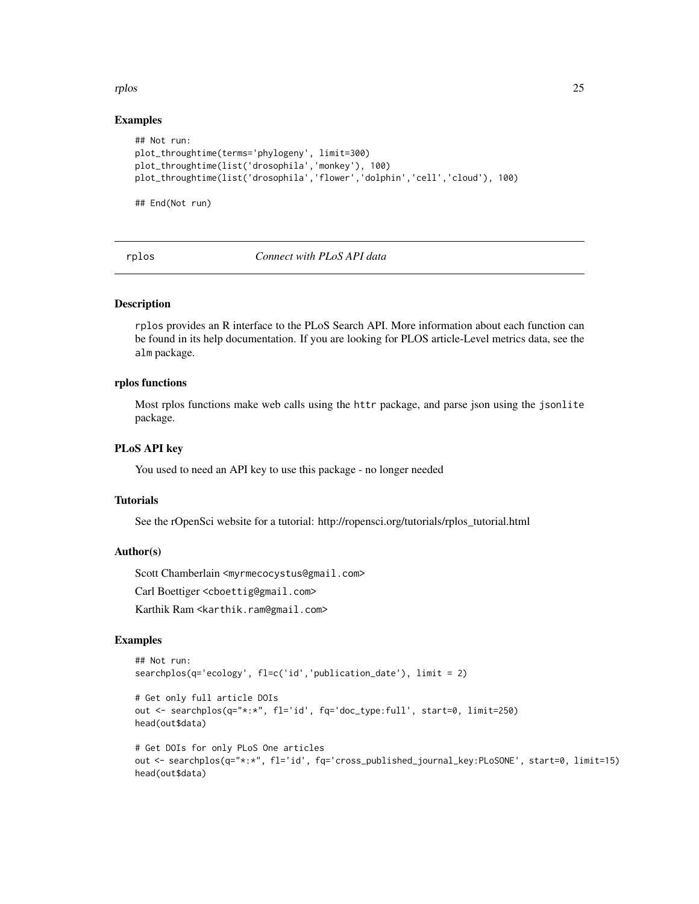<span id="page-24-0"></span>rplos that the contract of the contract of the contract of the contract of the contract of the contract of the contract of the contract of the contract of the contract of the contract of the contract of the contract of the

#### Examples

```
## Not run:
plot_throughtime(terms='phylogeny', limit=300)
plot_throughtime(list('drosophila','monkey'), 100)
plot_throughtime(list('drosophila','flower','dolphin','cell','cloud'), 100)
```
## End(Not run)

rplos *Connect with PLoS API data*

#### Description

rplos provides an R interface to the PLoS Search API. More information about each function can be found in its help documentation. If you are looking for PLOS article-Level metrics data, see the alm package.

# rplos functions

Most rplos functions make web calls using the httr package, and parse json using the jsonlite package.

#### PLoS API key

You used to need an API key to use this package - no longer needed

#### **Tutorials**

See the rOpenSci website for a tutorial: http://ropensci.org/tutorials/rplos\_tutorial.html

# Author(s)

Scott Chamberlain <myrmecocystus@gmail.com>

Carl Boettiger <cboettig@gmail.com>

Karthik Ram <karthik.ram@gmail.com>

#### Examples

```
## Not run:
searchplos(q='ecology', fl=c('id','publication_date'), limit = 2)
```

```
# Get only full article DOIs
out <- searchplos(q="*:*", fl='id', fq='doc_type:full', start=0, limit=250)
head(out$data)
```

```
# Get DOIs for only PLoS One articles
out <- searchplos(q="*:*", fl='id', fq='cross_published_journal_key:PLoSONE', start=0, limit=15)
head(out$data)
```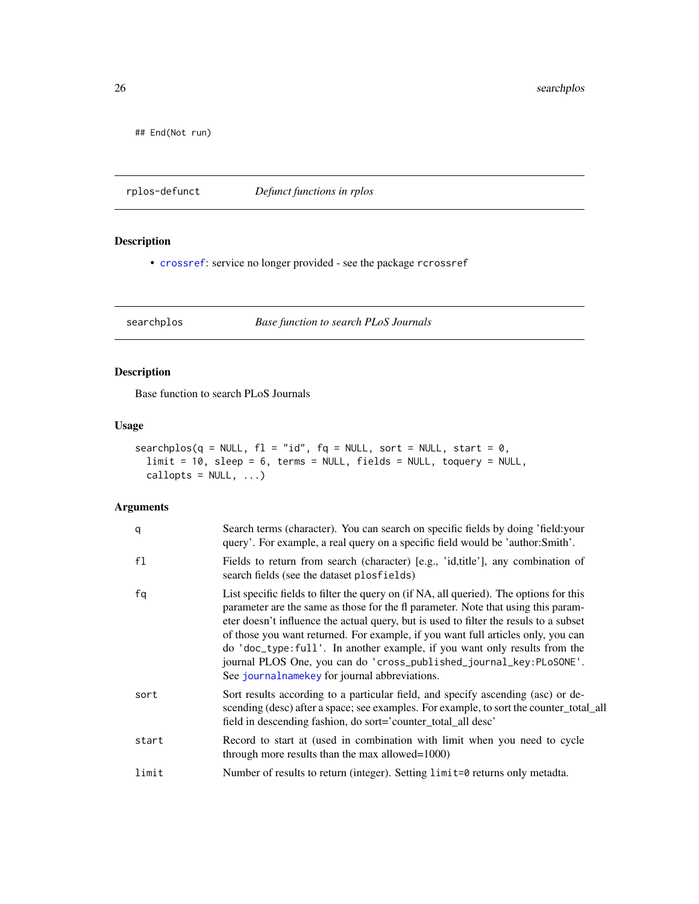## End(Not run)

rplos-defunct *Defunct functions in rplos*

# Description

• [crossref](#page-0-0): service no longer provided - see the package rcrossref

searchplos *Base function to search PLoS Journals*

# Description

Base function to search PLoS Journals

# Usage

```
searchplos(q = NULL, f1 = "id", fq = NULL, sort = NULL, start = 0,limit = 10, sleep = 6, terms = NULL, fields = NULL, toquery = NULL,
 callopts = NULL, ...)
```

| q     | Search terms (character). You can search on specific fields by doing 'field: your<br>query'. For example, a real query on a specific field would be 'author:Smith'.                                                                                                                                                                                                                                                                                                                                                                                             |
|-------|-----------------------------------------------------------------------------------------------------------------------------------------------------------------------------------------------------------------------------------------------------------------------------------------------------------------------------------------------------------------------------------------------------------------------------------------------------------------------------------------------------------------------------------------------------------------|
| f1    | Fields to return from search (character) [e.g., 'id, title'], any combination of<br>search fields (see the dataset plosfields)                                                                                                                                                                                                                                                                                                                                                                                                                                  |
| fq    | List specific fields to filter the query on (if NA, all queried). The options for this<br>parameter are the same as those for the fl parameter. Note that using this param-<br>eter doesn't influence the actual query, but is used to filter the resuls to a subset<br>of those you want returned. For example, if you want full articles only, you can<br>do 'doc_type:full'. In another example, if you want only results from the<br>journal PLOS One, you can do 'cross_published_journal_key:PLoSONE'.<br>See journal name key for journal abbreviations. |
| sort  | Sort results according to a particular field, and specify ascending (asc) or de-<br>scending (desc) after a space; see examples. For example, to sort the counter_total_all<br>field in descending fashion, do sort='counter_total_all desc'                                                                                                                                                                                                                                                                                                                    |
| start | Record to start at (used in combination with limit when you need to cycle<br>through more results than the max allowed=1000)                                                                                                                                                                                                                                                                                                                                                                                                                                    |
| limit | Number of results to return (integer). Setting limit=0 returns only metadta.                                                                                                                                                                                                                                                                                                                                                                                                                                                                                    |

<span id="page-25-0"></span>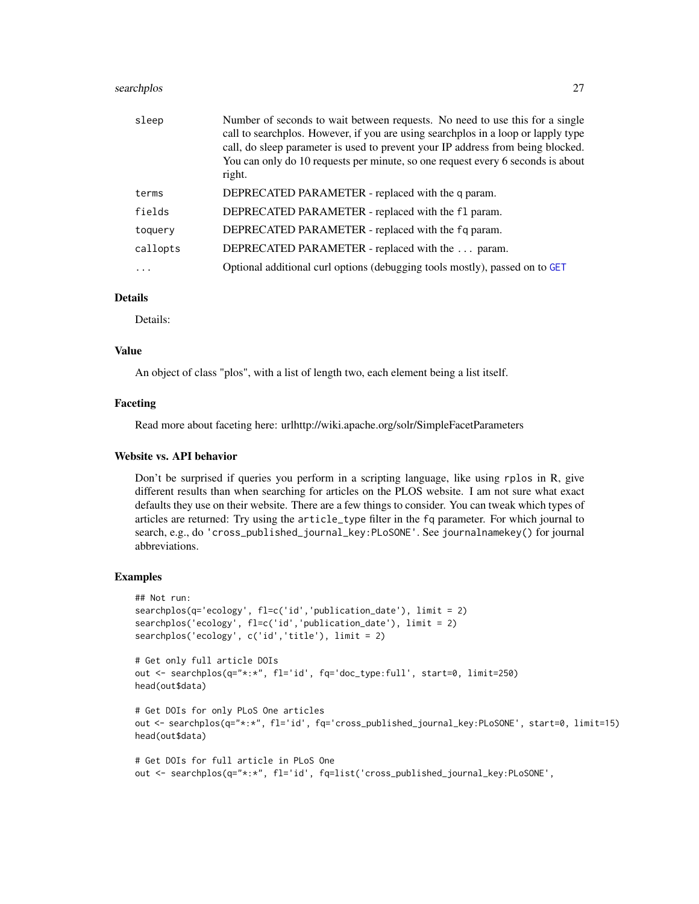#### <span id="page-26-0"></span>searchplos 27

| sleep    | Number of seconds to wait between requests. No need to use this for a single<br>call to searchplos. However, if you are using searchplos in a loop or lapply type<br>call, do sleep parameter is used to prevent your IP address from being blocked.<br>You can only do 10 requests per minute, so one request every 6 seconds is about<br>right. |
|----------|---------------------------------------------------------------------------------------------------------------------------------------------------------------------------------------------------------------------------------------------------------------------------------------------------------------------------------------------------|
| terms    | DEPRECATED PARAMETER - replaced with the q param.                                                                                                                                                                                                                                                                                                 |
| fields   | DEPRECATED PARAMETER - replaced with the f1 param.                                                                                                                                                                                                                                                                                                |
| toquery  | DEPRECATED PARAMETER - replaced with the fq param.                                                                                                                                                                                                                                                                                                |
| callopts | DEPRECATED PARAMETER - replaced with the  param.                                                                                                                                                                                                                                                                                                  |
|          | Optional additional curl options (debugging tools mostly), passed on to GET                                                                                                                                                                                                                                                                       |

#### Details

Details:

# Value

An object of class "plos", with a list of length two, each element being a list itself.

#### Faceting

Read more about faceting here: urlhttp://wiki.apache.org/solr/SimpleFacetParameters

#### Website vs. API behavior

Don't be surprised if queries you perform in a scripting language, like using rplos in R, give different results than when searching for articles on the PLOS website. I am not sure what exact defaults they use on their website. There are a few things to consider. You can tweak which types of articles are returned: Try using the article\_type filter in the fq parameter. For which journal to search, e.g., do 'cross\_published\_journal\_key:PLoSONE'. See journalnamekey() for journal abbreviations.

#### Examples

```
## Not run:
searchplos(q='ecology', fl=c('id','publication_date'), limit = 2)
searchplos('ecology', fl=c('id','publication_date'), limit = 2)
searchplos('ecology', c('id','title'), limit = 2)
# Get only full article DOIs
out <- searchplos(q="*:*", fl='id', fq='doc_type:full', start=0, limit=250)
head(out$data)
```

```
# Get DOIs for only PLoS One articles
out <- searchplos(q="*:*", fl='id', fq='cross_published_journal_key:PLoSONE', start=0, limit=15)
head(out$data)
```

```
# Get DOIs for full article in PLoS One
out <- searchplos(q="*:*", fl='id', fq=list('cross_published_journal_key:PLoSONE',
```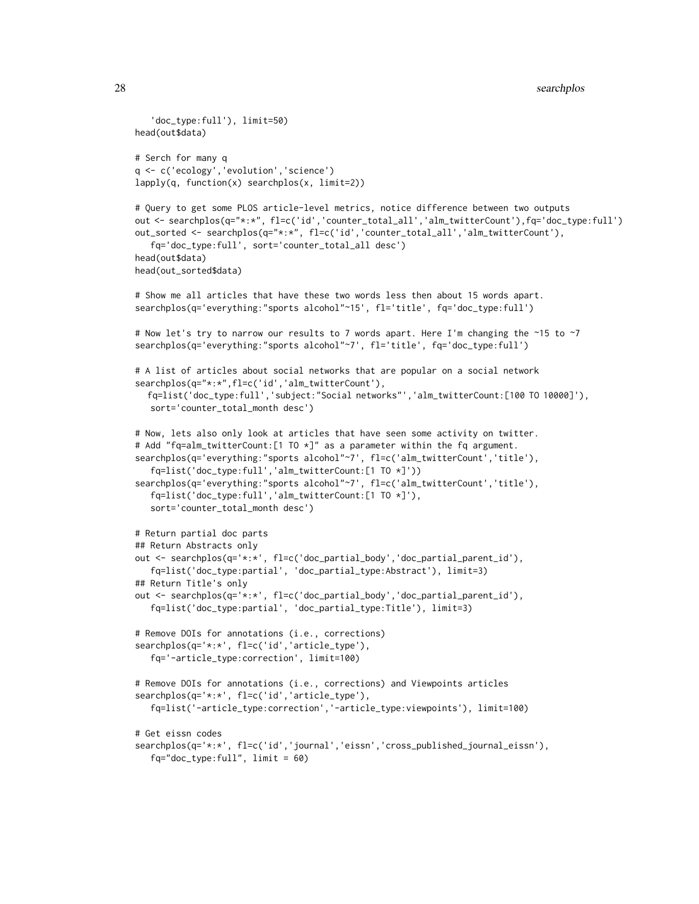```
'doc_type:full'), limit=50)
head(out$data)
# Serch for many q
q <- c('ecology','evolution','science')
lapply(q, function(x) searchplos(x, limit=2))
# Query to get some PLOS article-level metrics, notice difference between two outputs
out <- searchplos(q="*:*", fl=c('id','counter_total_all','alm_twitterCount'),fq='doc_type:full')
out_sorted <- searchplos(q="*:*", fl=c('id','counter_total_all','alm_twitterCount'),
   fq='doc_type:full', sort='counter_total_all desc')
head(out$data)
head(out_sorted$data)
# Show me all articles that have these two words less then about 15 words apart.
searchplos(q='everything:"sports alcohol"~15', fl='title', fq='doc_type:full')
# Now let's try to narrow our results to 7 words apart. Here I'm changing the ~15 to ~7
searchplos(q='everything:"sports alcohol"~7', fl='title', fq='doc_type:full')
# A list of articles about social networks that are popular on a social network
searchplos(q="*:*",fl=c('id','alm_twitterCount'),
  fq=list('doc_type:full','subject:"Social networks"','alm_twitterCount:[100 TO 10000]'),
  sort='counter_total_month desc')
# Now, lets also only look at articles that have seen some activity on twitter.
# Add "fq=alm_twitterCount:[1 TO *]" as a parameter within the fq argument.
searchplos(q='everything:"sports alcohol"~7', fl=c('alm_twitterCount','title'),
   fq=list('doc_type:full','alm_twitterCount:[1 TO *]'))
searchplos(q='everything:"sports alcohol"~7', fl=c('alm_twitterCount','title'),
   fq=list('doc_type:full','alm_twitterCount:[1 TO *]'),
   sort='counter_total_month desc')
# Return partial doc parts
## Return Abstracts only
out <- searchplos(q='*:*', fl=c('doc_partial_body','doc_partial_parent_id'),
   fq=list('doc_type:partial', 'doc_partial_type:Abstract'), limit=3)
## Return Title's only
out <- searchplos(q='*:*', fl=c('doc_partial_body','doc_partial_parent_id'),
   fq=list('doc_type:partial', 'doc_partial_type:Title'), limit=3)
# Remove DOIs for annotations (i.e., corrections)
searchplos(q='*:*', fl=c('id','article_type'),
   fq='-article_type:correction', limit=100)
# Remove DOIs for annotations (i.e., corrections) and Viewpoints articles
searchplos(q='*:*', fl=c('id','article_type'),
   fq=list('-article_type:correction','-article_type:viewpoints'), limit=100)
# Get eissn codes
searchplos(q='*:*', fl=c('id','journal','eissn','cross_published_journal_eissn'),
   fq="doc_type:full", limit = 60)
```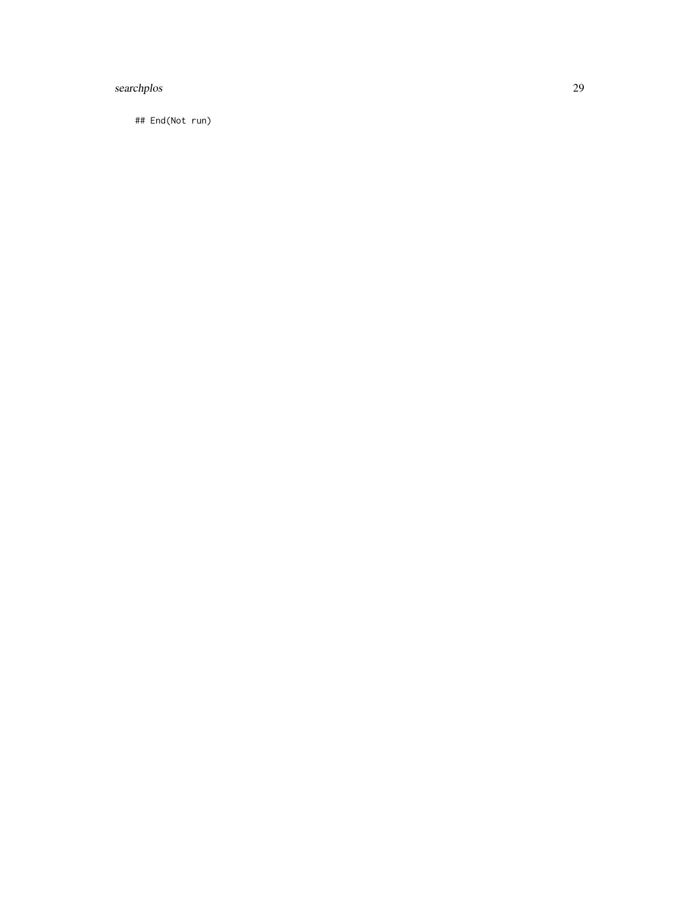# searchplos 29

## End(Not run)